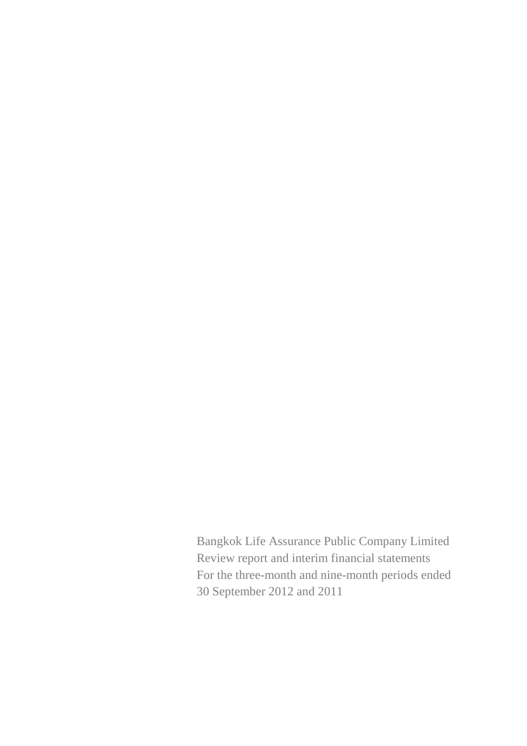Bangkok Life Assurance Public Company Limited Review report and interim financial statements For the three-month and nine-month periods ended 30 September 2012 and 2011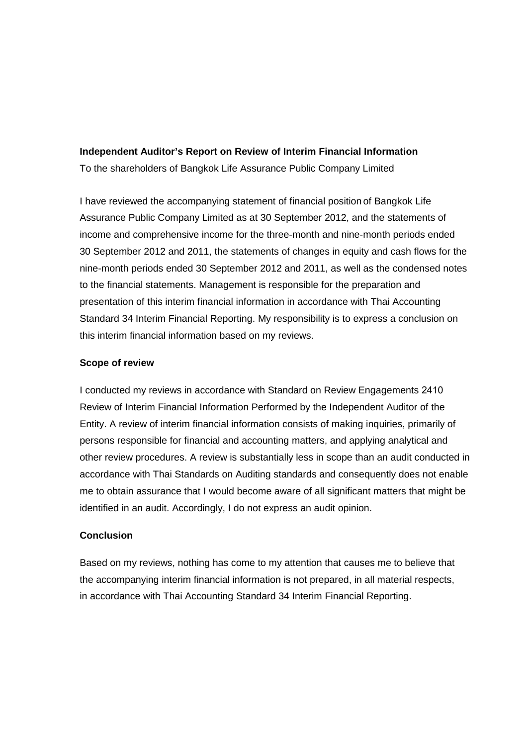#### **Independent Auditor's Report on Review of Interim Financial Information**

To the shareholders of Bangkok Life Assurance Public Company Limited

I have reviewed the accompanying statement of financial position of Bangkok Life Assurance Public Company Limited as at 30 September 2012, and the statements of income and comprehensive income for the three-month and nine-month periods ended 30 September 2012 and 2011, the statements of changes in equity and cash flows for the nine-month periods ended 30 September 2012 and 2011, as well as the condensed notes to the financial statements. Management is responsible for the preparation and presentation of this interim financial information in accordance with Thai Accounting Standard 34 Interim Financial Reporting. My responsibility is to express a conclusion on this interim financial information based on my reviews.

#### **Scope of review**

I conducted my reviews in accordance with Standard on Review Engagements 2410 Review of Interim Financial Information Performed by the Independent Auditor of the Entity. A review of interim financial information consists of making inquiries, primarily of persons responsible for financial and accounting matters, and applying analytical and other review procedures. A review is substantially less in scope than an audit conducted in accordance with Thai Standards on Auditing standards and consequently does not enable me to obtain assurance that I would become aware of all significant matters that might be identified in an audit. Accordingly, I do not express an audit opinion.

#### **Conclusion**

Based on my reviews, nothing has come to my attention that causes me to believe that the accompanying interim financial information is not prepared, in all material respects, in accordance with Thai Accounting Standard 34 Interim Financial Reporting.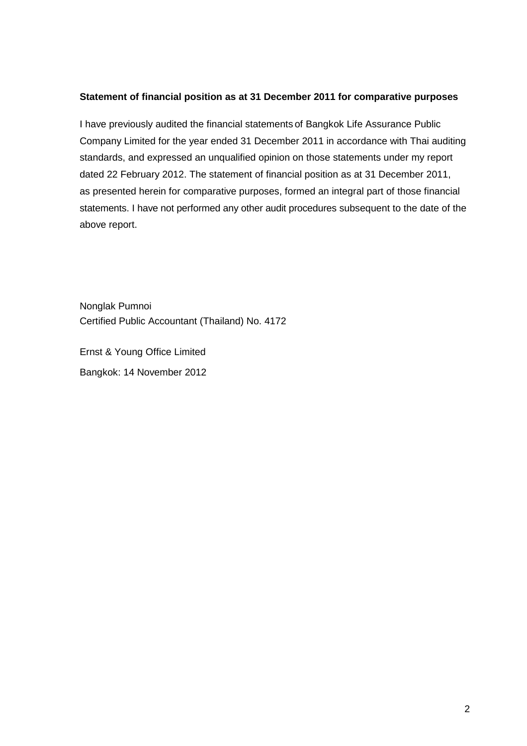#### **Statement of financial position as at 31 December 2011 for comparative purposes**

I have previously audited the financial statements of Bangkok Life Assurance Public Company Limited for the year ended 31 December 2011 in accordance with Thai auditing standards, and expressed an unqualified opinion on those statements under my report dated 22 February 2012. The statement of financial position as at 31 December 2011, as presented herein for comparative purposes, formed an integral part of those financial statements. I have not performed any other audit procedures subsequent to the date of the above report.

Nonglak Pumnoi Certified Public Accountant (Thailand) No. 4172

Ernst & Young Office Limited Bangkok: 14 November 2012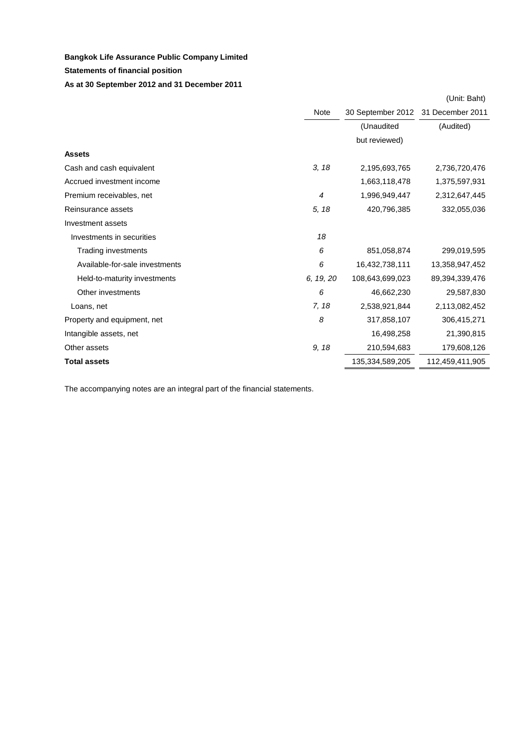#### **Statements of financial position**

#### **As at 30 September 2012 and 31 December 2011**

|                                |                |                                    | (Unit: Baht)    |
|--------------------------------|----------------|------------------------------------|-----------------|
|                                | Note           | 30 September 2012 31 December 2011 |                 |
|                                |                | (Unaudited                         | (Audited)       |
|                                |                | but reviewed)                      |                 |
| <b>Assets</b>                  |                |                                    |                 |
| Cash and cash equivalent       | 3, 18          | 2,195,693,765                      | 2,736,720,476   |
| Accrued investment income      |                | 1,663,118,478                      | 1,375,597,931   |
| Premium receivables, net       | $\overline{4}$ | 1,996,949,447                      | 2,312,647,445   |
| Reinsurance assets             | 5, 18          | 420,796,385                        | 332,055,036     |
| Investment assets              |                |                                    |                 |
| Investments in securities      | 18             |                                    |                 |
| Trading investments            | 6              | 851,058,874                        | 299,019,595     |
| Available-for-sale investments | 6              | 16,432,738,111                     | 13,358,947,452  |
| Held-to-maturity investments   | 6, 19, 20      | 108,643,699,023                    | 89,394,339,476  |
| Other investments              | 6              | 46,662,230                         | 29,587,830      |
| Loans, net                     | 7, 18          | 2,538,921,844                      | 2,113,082,452   |
| Property and equipment, net    | 8              | 317,858,107                        | 306,415,271     |
| Intangible assets, net         |                | 16,498,258                         | 21,390,815      |
| Other assets                   | 9, 18          | 210,594,683                        | 179,608,126     |
| <b>Total assets</b>            |                | 135,334,589,205                    | 112,459,411,905 |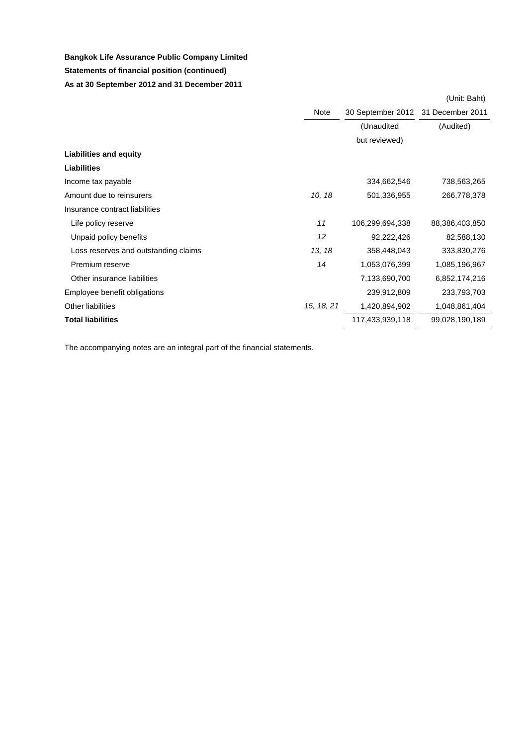# **Bangkok Life Assurance Public Company Limited Statements of financial position (continued) As at 30 September 2012 and 31 December 2011**

|                                      | Note       | 30 September 2012 31 December 2011 |                |
|--------------------------------------|------------|------------------------------------|----------------|
|                                      |            | (Unaudited                         | (Audited)      |
|                                      |            | but reviewed)                      |                |
| <b>Liabilities and equity</b>        |            |                                    |                |
| <b>Liabilities</b>                   |            |                                    |                |
| Income tax payable                   |            | 334,662,546                        | 738,563,265    |
| Amount due to reinsurers             | 10, 18     | 501,336,955                        | 266,778,378    |
| Insurance contract liabilities       |            |                                    |                |
| Life policy reserve                  | 11         | 106,299,694,338                    | 88,386,403,850 |
| Unpaid policy benefits               | 12         | 92,222,426                         | 82,588,130     |
| Loss reserves and outstanding claims | 13, 18     | 358,448,043                        | 333,830,276    |
| Premium reserve                      | 14         | 1,053,076,399                      | 1,085,196,967  |
| Other insurance liabilities          |            | 7,133,690,700                      | 6,852,174,216  |
| Employee benefit obligations         |            | 239,912,809                        | 233,793,703    |
| <b>Other liabilities</b>             | 15, 18, 21 | 1,420,894,902                      | 1,048,861,404  |
| <b>Total liabilities</b>             |            | 117,433,939,118                    | 99,028,190,189 |

The accompanying notes are an integral part of the financial statements.

(Unit: Baht)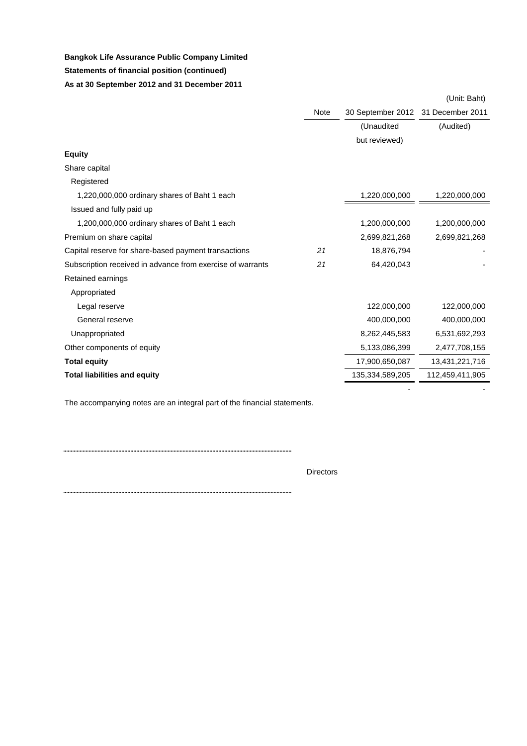# **Bangkok Life Assurance Public Company Limited Statements of financial position (continued) As at 30 September 2012 and 31 December 2011**

|                                                            | <b>Note</b> | 30 September 2012 31 December 2011 |                 |
|------------------------------------------------------------|-------------|------------------------------------|-----------------|
|                                                            |             | (Unaudited                         | (Audited)       |
|                                                            |             | but reviewed)                      |                 |
| <b>Equity</b>                                              |             |                                    |                 |
| Share capital                                              |             |                                    |                 |
| Registered                                                 |             |                                    |                 |
| 1,220,000,000 ordinary shares of Baht 1 each               |             | 1,220,000,000                      | 1,220,000,000   |
| Issued and fully paid up                                   |             |                                    |                 |
| 1,200,000,000 ordinary shares of Baht 1 each               |             | 1,200,000,000                      | 1,200,000,000   |
| Premium on share capital                                   |             | 2,699,821,268                      | 2,699,821,268   |
| Capital reserve for share-based payment transactions       | 21          | 18,876,794                         |                 |
| Subscription received in advance from exercise of warrants | 21          | 64,420,043                         |                 |
| Retained earnings                                          |             |                                    |                 |
| Appropriated                                               |             |                                    |                 |
| Legal reserve                                              |             | 122,000,000                        | 122,000,000     |
| General reserve                                            |             | 400,000,000                        | 400,000,000     |
| Unappropriated                                             |             | 8,262,445,583                      | 6,531,692,293   |
| Other components of equity                                 |             | 5,133,086,399                      | 2,477,708,155   |
| <b>Total equity</b>                                        |             | 17,900,650,087                     | 13,431,221,716  |
| <b>Total liabilities and equity</b>                        |             | 135,334,589,205                    | 112,459,411,905 |
|                                                            |             |                                    |                 |

The accompanying notes are an integral part of the financial statements.

**Directors** 

....

#### (Unit: Baht)

- - - - - - - - - - - - - - - - -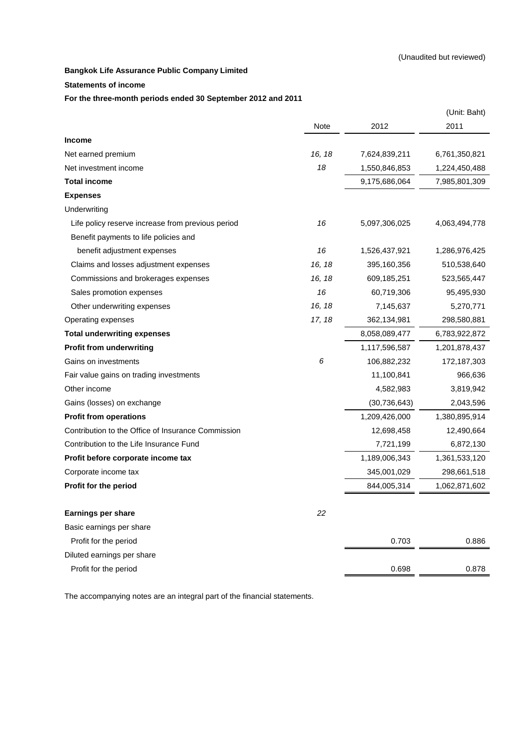#### **Statements of income**

#### **For the three-month periods ended 30 September 2012 and 2011**

|                                                    |             |                | (Unit: Baht)  |
|----------------------------------------------------|-------------|----------------|---------------|
|                                                    | <b>Note</b> | 2012           | 2011          |
| <b>Income</b>                                      |             |                |               |
| Net earned premium                                 | 16, 18      | 7,624,839,211  | 6,761,350,821 |
| Net investment income                              | 18          | 1,550,846,853  | 1,224,450,488 |
| <b>Total income</b>                                |             | 9,175,686,064  | 7,985,801,309 |
| <b>Expenses</b>                                    |             |                |               |
| Underwriting                                       |             |                |               |
| Life policy reserve increase from previous period  | 16          | 5,097,306,025  | 4,063,494,778 |
| Benefit payments to life policies and              |             |                |               |
| benefit adjustment expenses                        | 16          | 1,526,437,921  | 1,286,976,425 |
| Claims and losses adjustment expenses              | 16, 18      | 395,160,356    | 510,538,640   |
| Commissions and brokerages expenses                | 16, 18      | 609,185,251    | 523,565,447   |
| Sales promotion expenses                           | 16          | 60,719,306     | 95,495,930    |
| Other underwriting expenses                        | 16, 18      | 7,145,637      | 5,270,771     |
| Operating expenses                                 | 17, 18      | 362,134,981    | 298,580,881   |
| <b>Total underwriting expenses</b>                 |             | 8,058,089,477  | 6,783,922,872 |
| <b>Profit from underwriting</b>                    |             | 1,117,596,587  | 1,201,878,437 |
| Gains on investments                               | 6           | 106,882,232    | 172,187,303   |
| Fair value gains on trading investments            |             | 11,100,841     | 966,636       |
| Other income                                       |             | 4,582,983      | 3,819,942     |
| Gains (losses) on exchange                         |             | (30, 736, 643) | 2,043,596     |
| <b>Profit from operations</b>                      |             | 1,209,426,000  | 1,380,895,914 |
| Contribution to the Office of Insurance Commission |             | 12,698,458     | 12,490,664    |
| Contribution to the Life Insurance Fund            |             | 7,721,199      | 6,872,130     |
| Profit before corporate income tax                 |             | 1,189,006,343  | 1,361,533,120 |
| Corporate income tax                               |             | 345,001,029    | 298,661,518   |
| <b>Profit for the period</b>                       |             | 844,005,314    | 1,062,871,602 |
| <b>Earnings per share</b>                          | 22          |                |               |
| Basic earnings per share                           |             |                |               |
| Profit for the period                              |             | 0.703          | 0.886         |
| Diluted earnings per share                         |             |                |               |
| Profit for the period                              |             | 0.698          | 0.878         |
|                                                    |             |                |               |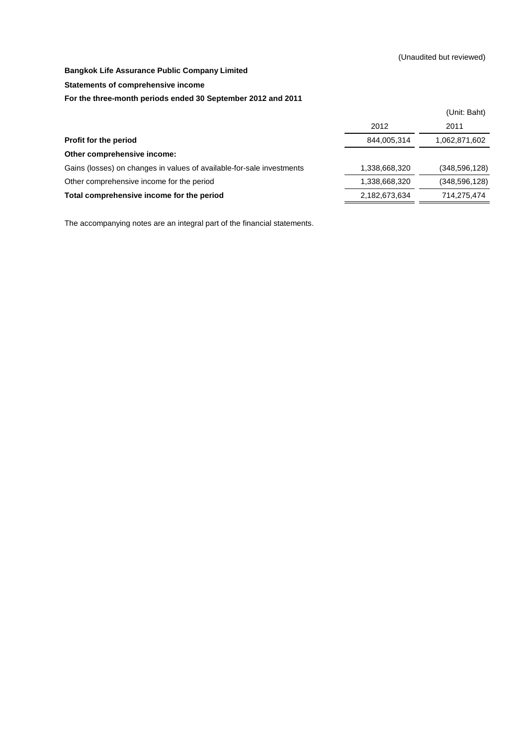**Statements of comprehensive income**

#### **For the three-month periods ended 30 September 2012 and 2011**

|                                                                       |               | (Unit: Baht)    |
|-----------------------------------------------------------------------|---------------|-----------------|
|                                                                       | 2012          | 2011            |
| Profit for the period                                                 | 844,005,314   | 1,062,871,602   |
| Other comprehensive income:                                           |               |                 |
| Gains (losses) on changes in values of available-for-sale investments | 1,338,668,320 | (348, 596, 128) |
| Other comprehensive income for the period                             | 1,338,668,320 | (348, 596, 128) |
| Total comprehensive income for the period                             | 2,182,673,634 | 714,275,474     |
|                                                                       |               |                 |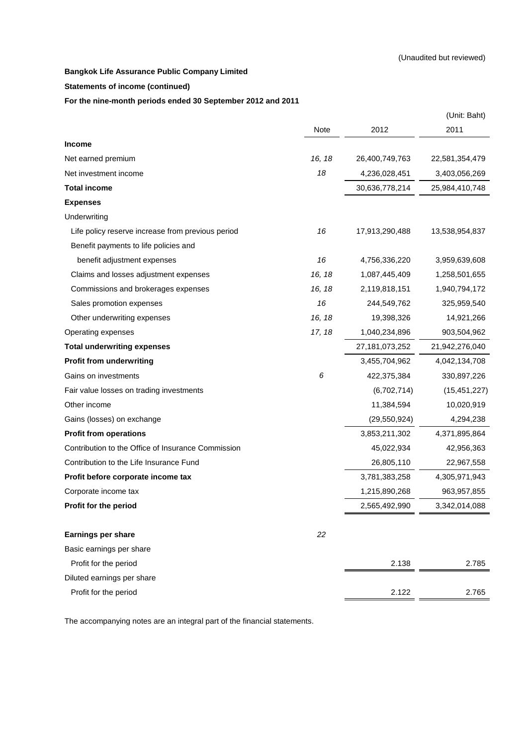#### **Statements of income (continued)**

**For the nine-month periods ended 30 September 2012 and 2011**

|                                                    |        |                   | (Unit: Baht)   |
|----------------------------------------------------|--------|-------------------|----------------|
|                                                    | Note   | 2012              | 2011           |
| <b>Income</b>                                      |        |                   |                |
| Net earned premium                                 | 16, 18 | 26,400,749,763    | 22,581,354,479 |
| Net investment income                              | 18     | 4,236,028,451     | 3,403,056,269  |
| <b>Total income</b>                                |        | 30,636,778,214    | 25,984,410,748 |
| <b>Expenses</b>                                    |        |                   |                |
| Underwriting                                       |        |                   |                |
| Life policy reserve increase from previous period  | 16     | 17,913,290,488    | 13,538,954,837 |
| Benefit payments to life policies and              |        |                   |                |
| benefit adjustment expenses                        | 16     | 4,756,336,220     | 3,959,639,608  |
| Claims and losses adjustment expenses              | 16, 18 | 1,087,445,409     | 1,258,501,655  |
| Commissions and brokerages expenses                | 16, 18 | 2,119,818,151     | 1,940,794,172  |
| Sales promotion expenses                           | 16     | 244,549,762       | 325,959,540    |
| Other underwriting expenses                        | 16, 18 | 19,398,326        | 14,921,266     |
| Operating expenses                                 | 17, 18 | 1,040,234,896     | 903,504,962    |
| <b>Total underwriting expenses</b>                 |        | 27, 181, 073, 252 | 21,942,276,040 |
| <b>Profit from underwriting</b>                    |        | 3,455,704,962     | 4,042,134,708  |
| Gains on investments                               | 6      | 422,375,384       | 330,897,226    |
| Fair value losses on trading investments           |        | (6,702,714)       | (15, 451, 227) |
| Other income                                       |        | 11,384,594        | 10,020,919     |
| Gains (losses) on exchange                         |        | (29, 550, 924)    | 4,294,238      |
| <b>Profit from operations</b>                      |        | 3,853,211,302     | 4,371,895,864  |
| Contribution to the Office of Insurance Commission |        | 45,022,934        | 42,956,363     |
| Contribution to the Life Insurance Fund            |        | 26,805,110        | 22,967,558     |
| Profit before corporate income tax                 |        | 3,781,383,258     | 4,305,971,943  |
| Corporate income tax                               |        | 1,215,890,268     | 963,957,855    |
| Profit for the period                              |        | 2,565,492,990     | 3,342,014,088  |
| <b>Earnings per share</b>                          | 22     |                   |                |
| Basic earnings per share                           |        |                   |                |
| Profit for the period                              |        | 2.138             | 2.785          |
| Diluted earnings per share                         |        |                   |                |
| Profit for the period                              |        | 2.122             | 2.765          |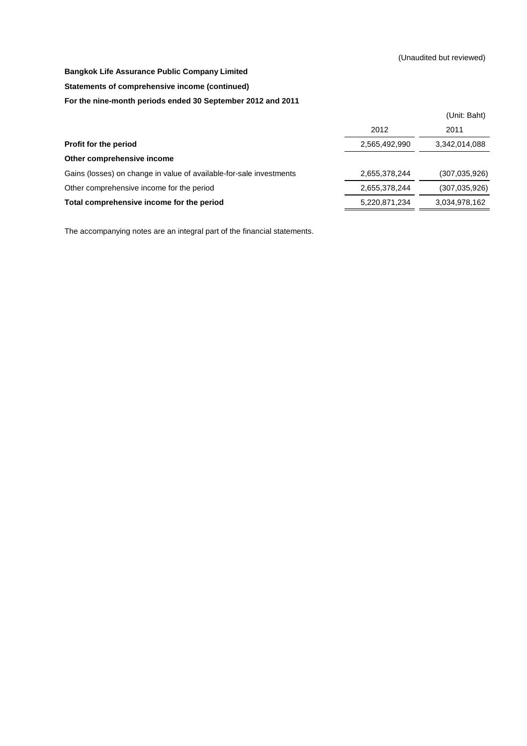#### **Statements of comprehensive income (continued)**

#### **For the nine-month periods ended 30 September 2012 and 2011**

|                                                                     |               | (Unit: Baht)    |
|---------------------------------------------------------------------|---------------|-----------------|
|                                                                     | 2012          | 2011            |
| Profit for the period                                               | 2,565,492,990 | 3,342,014,088   |
| Other comprehensive income                                          |               |                 |
| Gains (losses) on change in value of available-for-sale investments | 2,655,378,244 | (307, 035, 926) |
| Other comprehensive income for the period                           | 2,655,378,244 | (307, 035, 926) |
| Total comprehensive income for the period                           | 5,220,871,234 | 3,034,978,162   |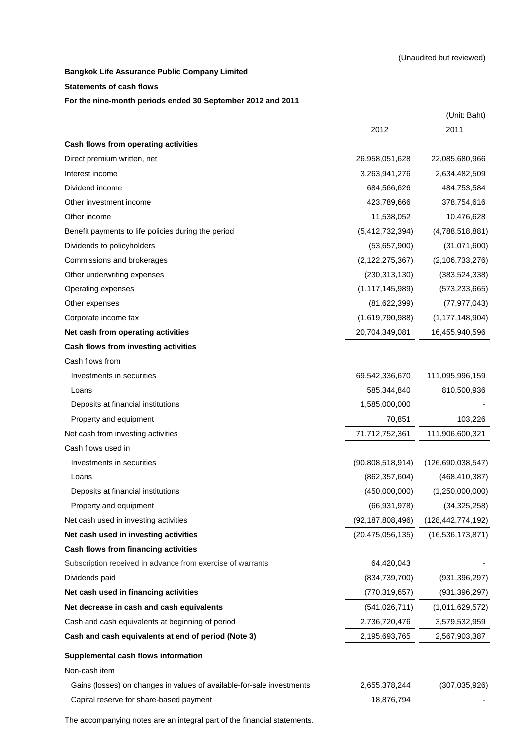#### **Statements of cash flows**

#### **For the nine-month periods ended 30 September 2012 and 2011**

|                                                                       |                     | (Unit: Baht)         |
|-----------------------------------------------------------------------|---------------------|----------------------|
|                                                                       | 2012                | 2011                 |
| Cash flows from operating activities                                  |                     |                      |
| Direct premium written, net                                           | 26,958,051,628      | 22,085,680,966       |
| Interest income                                                       | 3,263,941,276       | 2,634,482,509        |
| Dividend income                                                       | 684,566,626         | 484,753,584          |
| Other investment income                                               | 423,789,666         | 378,754,616          |
| Other income                                                          | 11,538,052          | 10,476,628           |
| Benefit payments to life policies during the period                   | (5,412,732,394)     | (4,788,518,881)      |
| Dividends to policyholders                                            | (53,657,900)        | (31,071,600)         |
| Commissions and brokerages                                            | (2, 122, 275, 367)  | (2, 106, 733, 276)   |
| Other underwriting expenses                                           | (230, 313, 130)     | (383, 524, 338)      |
| Operating expenses                                                    | (1, 117, 145, 989)  | (573, 233, 665)      |
| Other expenses                                                        | (81, 622, 399)      | (77, 977, 043)       |
| Corporate income tax                                                  | (1,619,790,988)     | (1, 177, 148, 904)   |
| Net cash from operating activities                                    | 20,704,349,081      | 16,455,940,596       |
| Cash flows from investing activities                                  |                     |                      |
| Cash flows from                                                       |                     |                      |
| Investments in securities                                             | 69,542,336,670      | 111,095,996,159      |
| Loans                                                                 | 585,344,840         | 810,500,936          |
| Deposits at financial institutions                                    | 1,585,000,000       |                      |
| Property and equipment                                                | 70,851              | 103,226              |
| Net cash from investing activities                                    | 71,712,752,361      | 111,906,600,321      |
| Cash flows used in                                                    |                     |                      |
| Investments in securities                                             | (90,808,518,914)    | (126,690,038,547)    |
| Loans                                                                 | (862, 357, 604)     | (468, 410, 387)      |
| Deposits at financial institutions                                    | (450,000,000)       | (1,250,000,000)      |
| Property and equipment                                                | (66, 931, 978)      | (34, 325, 258)       |
| Net cash used in investing activities                                 | (92, 187, 808, 496) | (128, 442, 774, 192) |
| Net cash used in investing activities                                 | (20, 475, 056, 135) | (16, 536, 173, 871)  |
| Cash flows from financing activities                                  |                     |                      |
| Subscription received in advance from exercise of warrants            | 64,420,043          |                      |
| Dividends paid                                                        | (834, 739, 700)     | (931, 396, 297)      |
| Net cash used in financing activities                                 | (770, 319, 657)     | (931, 396, 297)      |
| Net decrease in cash and cash equivalents                             | (541, 026, 711)     | (1,011,629,572)      |
| Cash and cash equivalents at beginning of period                      | 2,736,720,476       | 3,579,532,959        |
| Cash and cash equivalents at end of period (Note 3)                   | 2,195,693,765       | 2,567,903,387        |
| Supplemental cash flows information                                   |                     |                      |
| Non-cash item                                                         |                     |                      |
| Gains (losses) on changes in values of available-for-sale investments | 2,655,378,244       | (307, 035, 926)      |
| Capital reserve for share-based payment                               | 18,876,794          |                      |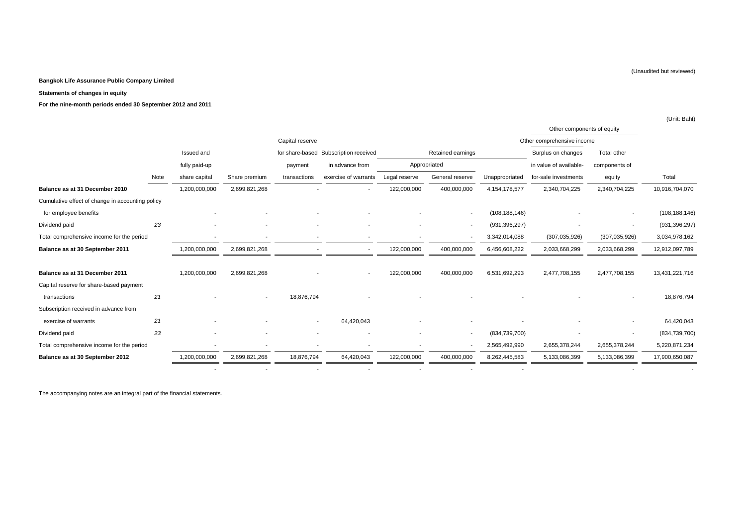#### **Statements of changes in equity**

**For the nine-month periods ended 30 September 2012 and 2011**

|                                                  |      |               |               |                 |                                       |               |                          |                 | Other components of equity |                          |                 |
|--------------------------------------------------|------|---------------|---------------|-----------------|---------------------------------------|---------------|--------------------------|-----------------|----------------------------|--------------------------|-----------------|
|                                                  |      |               |               | Capital reserve |                                       |               |                          |                 | Other comprehensive income |                          |                 |
|                                                  |      | Issued and    |               |                 | for share-based Subscription received |               | Retained earnings        |                 | Surplus on changes         | Total other              |                 |
|                                                  |      | fully paid-up |               | payment         | in advance from                       |               | Appropriated             |                 | in value of available-     | components of            |                 |
|                                                  | Note | share capital | Share premium | transactions    | exercise of warrants                  | Legal reserve | General reserve          | Unappropriated  | for-sale investments       | equity                   | Total           |
| Balance as at 31 December 2010                   |      | 1,200,000,000 | 2,699,821,268 |                 |                                       | 122,000,000   | 400,000,000              | 4,154,178,577   | 2,340,704,225              | 2,340,704,225            | 10,916,704,070  |
| Cumulative effect of change in accounting policy |      |               |               |                 |                                       |               |                          |                 |                            |                          |                 |
| for employee benefits                            |      |               |               |                 |                                       |               |                          | (108, 188, 146) |                            |                          | (108, 188, 146) |
| Dividend paid                                    | 23   |               |               |                 | ٠                                     |               | $\overline{\phantom{a}}$ | (931, 396, 297) |                            | $\sim$                   | (931, 396, 297) |
| Total comprehensive income for the period        |      |               |               |                 | $\overline{\phantom{a}}$              |               |                          | 3,342,014,088   | (307, 035, 926)            | (307, 035, 926)          | 3,034,978,162   |
| Balance as at 30 September 2011                  |      | 1,200,000,000 | 2,699,821,268 |                 |                                       | 122,000,000   | 400,000,000              | 6,456,608,222   | 2,033,668,299              | 2,033,668,299            | 12,912,097,789  |
| Balance as at 31 December 2011                   |      | 1,200,000,000 | 2,699,821,268 |                 |                                       | 122,000,000   | 400,000,000              | 6,531,692,293   | 2,477,708,155              | 2,477,708,155            | 13,431,221,716  |
| Capital reserve for share-based payment          |      |               |               |                 |                                       |               |                          |                 |                            |                          |                 |
| transactions                                     | 21   |               |               | 18,876,794      |                                       |               |                          |                 |                            |                          | 18,876,794      |
| Subscription received in advance from            |      |               |               |                 |                                       |               |                          |                 |                            |                          |                 |
| exercise of warrants                             | 21   |               |               |                 | 64,420,043                            |               |                          |                 |                            |                          | 64,420,043      |
| Dividend paid                                    | 23   |               |               |                 | ٠                                     |               | $\sim$                   | (834,739,700)   |                            | $\overline{\phantom{a}}$ | (834, 739, 700) |
| Total comprehensive income for the period        |      |               |               |                 |                                       |               |                          | 2,565,492,990   | 2,655,378,244              | 2,655,378,244            | 5,220,871,234   |
| Balance as at 30 September 2012                  |      | 1,200,000,000 | 2,699,821,268 | 18,876,794      | 64,420,043                            | 122,000,000   | 400,000,000              | 8,262,445,583   | 5,133,086,399              | 5,133,086,399            | 17,900,650,087  |
|                                                  |      |               |               |                 |                                       |               |                          |                 |                            |                          |                 |

The accompanying notes are an integral part of the financial statements.

(Unaudited but reviewed)

(Unit: Baht)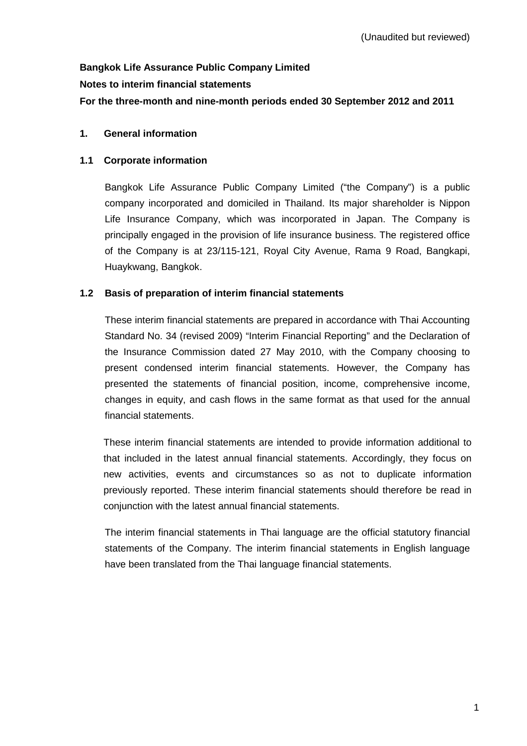# **Bangkok Life Assurance Public Company Limited Notes to interim financial statements For the three-month and nine-month periods ended 30 September 2012 and 2011**

# **1. General information**

# **1.1 Corporate information**

Bangkok Life Assurance Public Company Limited ("the Company") is a public company incorporated and domiciled in Thailand. Its major shareholder is Nippon Life Insurance Company, which was incorporated in Japan. The Company is principally engaged in the provision of life insurance business. The registered office of the Company is at 23/115-121, Royal City Avenue, Rama 9 Road, Bangkapi, Huaykwang, Bangkok.

# **1.2 Basis of preparation of interim financial statements**

These interim financial statements are prepared in accordance with Thai Accounting Standard No. 34 (revised 2009) "Interim Financial Reporting" and the Declaration of the Insurance Commission dated 27 May 2010, with the Company choosing to present condensed interim financial statements. However, the Company has presented the statements of financial position, income, comprehensive income, changes in equity, and cash flows in the same format as that used for the annual financial statements.

 These interim financial statements are intended to provide information additional to that included in the latest annual financial statements. Accordingly, they focus on new activities, events and circumstances so as not to duplicate information previously reported. These interim financial statements should therefore be read in conjunction with the latest annual financial statements.

 The interim financial statements in Thai language are the official statutory financial statements of the Company. The interim financial statements in English language have been translated from the Thai language financial statements.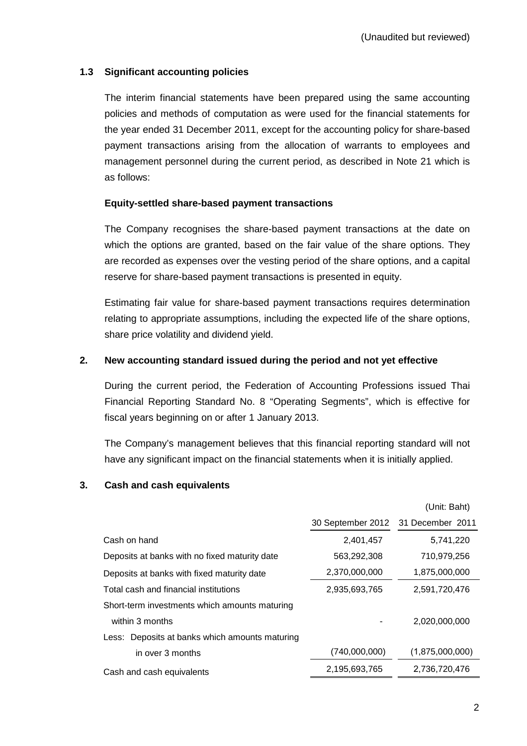# **1.3 Significant accounting policies**

 The interim financial statements have been prepared using the same accounting policies and methods of computation as were used for the financial statements for the year ended 31 December 2011, except for the accounting policy for share-based payment transactions arising from the allocation of warrants to employees and management personnel during the current period, as described in Note 21 which is as follows:

### **Equity-settled share-based payment transactions**

 The Company recognises the share-based payment transactions at the date on which the options are granted, based on the fair value of the share options. They are recorded as expenses over the vesting period of the share options, and a capital reserve for share-based payment transactions is presented in equity.

 Estimating fair value for share-based payment transactions requires determination relating to appropriate assumptions, including the expected life of the share options, share price volatility and dividend yield.

### **2. New accounting standard issued during the period and not yet effective**

 During the current period, the Federation of Accounting Professions issued Thai Financial Reporting Standard No. 8 "Operating Segments", which is effective for fiscal years beginning on or after 1 January 2013.

The Company's management believes that this financial reporting standard will not have any significant impact on the financial statements when it is initially applied.

#### **3. Cash and cash equivalents**

|                                                |                                    | (Unit: Baht)    |
|------------------------------------------------|------------------------------------|-----------------|
|                                                | 30 September 2012 31 December 2011 |                 |
| Cash on hand                                   | 2,401,457                          | 5,741,220       |
| Deposits at banks with no fixed maturity date  | 563,292,308                        | 710,979,256     |
| Deposits at banks with fixed maturity date     | 2,370,000,000                      | 1,875,000,000   |
| Total cash and financial institutions          | 2,935,693,765                      | 2,591,720,476   |
| Short-term investments which amounts maturing  |                                    |                 |
| within 3 months                                |                                    | 2,020,000,000   |
| Less: Deposits at banks which amounts maturing |                                    |                 |
| in over 3 months                               | (740,000,000)                      | (1,875,000,000) |
| Cash and cash equivalents                      | 2,195,693,765                      | 2,736,720,476   |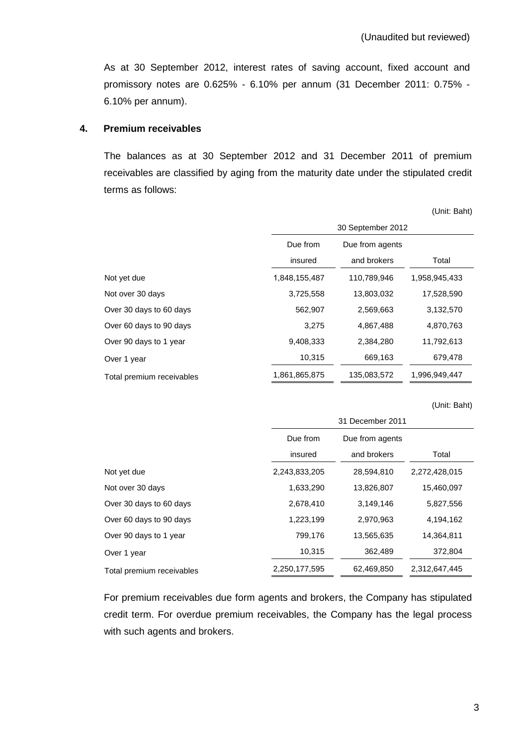As at 30 September 2012, interest rates of saving account, fixed account and promissory notes are 0.625% - 6.10% per annum (31 December 2011: 0.75% - 6.10% per annum).

#### **4. Premium receivables**

 The balances as at 30 September 2012 and 31 December 2011 of premium receivables are classified by aging from the maturity date under the stipulated credit terms as follows:

(Unit: Baht)

|                           | 30 September 2012           |             |               |  |
|---------------------------|-----------------------------|-------------|---------------|--|
|                           | Due from<br>Due from agents |             |               |  |
|                           | insured                     | and brokers | Total         |  |
| Not yet due               | 1,848,155,487               | 110,789,946 | 1,958,945,433 |  |
| Not over 30 days          | 3,725,558                   | 13,803,032  | 17,528,590    |  |
| Over 30 days to 60 days   | 562,907                     | 2,569,663   | 3,132,570     |  |
| Over 60 days to 90 days   | 3,275                       | 4,867,488   | 4,870,763     |  |
| Over 90 days to 1 year    | 9,408,333                   | 2,384,280   | 11,792,613    |  |
| Over 1 year               | 10,315                      | 669,163     | 679,478       |  |
| Total premium receivables | 1,861,865,875               | 135.083.572 | 1.996.949.447 |  |

(Unit: Baht)

|                           | 31 December 2011 |                 |               |  |
|---------------------------|------------------|-----------------|---------------|--|
|                           | Due from         | Due from agents |               |  |
|                           | insured          | and brokers     | Total         |  |
| Not yet due               | 2,243,833,205    | 28,594,810      | 2,272,428,015 |  |
| Not over 30 days          | 1,633,290        | 13,826,807      | 15,460,097    |  |
| Over 30 days to 60 days   | 2,678,410        | 3,149,146       | 5,827,556     |  |
| Over 60 days to 90 days   | 1,223,199        | 2,970,963       | 4,194,162     |  |
| Over 90 days to 1 year    | 799,176          | 13,565,635      | 14,364,811    |  |
| Over 1 year               | 10,315           | 362,489         | 372,804       |  |
| Total premium receivables | 2,250,177,595    | 62,469,850      | 2,312,647,445 |  |

 For premium receivables due form agents and brokers, the Company has stipulated credit term. For overdue premium receivables, the Company has the legal process with such agents and brokers.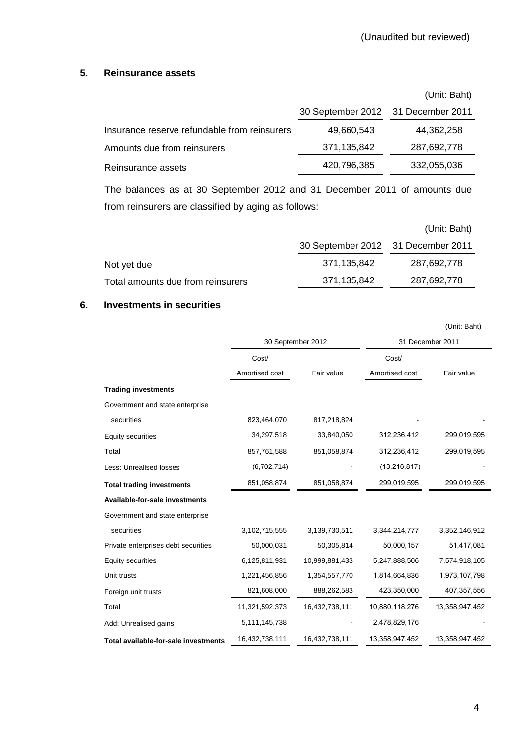#### **5. Reinsurance assets**

|                                              |                                    | (Unit: Baht) |
|----------------------------------------------|------------------------------------|--------------|
|                                              | 30 September 2012 31 December 2011 |              |
| Insurance reserve refundable from reinsurers | 49,660,543                         | 44,362,258   |
| Amounts due from reinsurers                  | 371,135,842                        | 287,692,778  |
| Reinsurance assets                           | 420,796,385                        | 332,055,036  |
|                                              |                                    |              |

The balances as at 30 September 2012 and 31 December 2011 of amounts due from reinsurers are classified by aging as follows:

|                                   |                                    | (Unit: Baht) |
|-----------------------------------|------------------------------------|--------------|
|                                   | 30 September 2012 31 December 2011 |              |
| Not yet due                       | 371,135,842                        | 287,692,778  |
| Total amounts due from reinsurers | 371,135,842                        | 287,692,778  |

#### **6. Investments in securities**

|                                      |                |                   |                  | (Unit: Baht)   |  |
|--------------------------------------|----------------|-------------------|------------------|----------------|--|
|                                      |                | 30 September 2012 | 31 December 2011 |                |  |
|                                      | Cost/          |                   | Cost/            |                |  |
|                                      | Amortised cost | Fair value        | Amortised cost   | Fair value     |  |
| <b>Trading investments</b>           |                |                   |                  |                |  |
| Government and state enterprise      |                |                   |                  |                |  |
| securities                           | 823,464,070    | 817,218,824       |                  |                |  |
| <b>Equity securities</b>             | 34,297,518     | 33,840,050        | 312,236,412      | 299,019,595    |  |
| Total                                | 857,761,588    | 851,058,874       | 312,236,412      | 299,019,595    |  |
| Less: Unrealised losses              | (6,702,714)    |                   | (13, 216, 817)   |                |  |
| <b>Total trading investments</b>     | 851,058,874    | 851,058,874       | 299,019,595      | 299,019,595    |  |
| Available-for-sale investments       |                |                   |                  |                |  |
| Government and state enterprise      |                |                   |                  |                |  |
| securities                           | 3,102,715,555  | 3,139,730,511     | 3,344,214,777    | 3,352,146,912  |  |
| Private enterprises debt securities  | 50,000,031     | 50,305,814        | 50,000,157       | 51,417,081     |  |
| <b>Equity securities</b>             | 6,125,811,931  | 10,999,881,433    | 5,247,888,506    | 7,574,918,105  |  |
| Unit trusts                          | 1,221,456,856  | 1,354,557,770     | 1,814,664,836    | 1,973,107,798  |  |
| Foreign unit trusts                  | 821,608,000    | 888,262,583       | 423,350,000      | 407,357,556    |  |
| Total                                | 11,321,592,373 | 16,432,738,111    | 10,880,118,276   | 13,358,947,452 |  |
| Add: Unrealised gains                | 5,111,145,738  |                   | 2,478,829,176    |                |  |
| Total available-for-sale investments | 16,432,738,111 | 16,432,738,111    | 13,358,947,452   | 13,358,947,452 |  |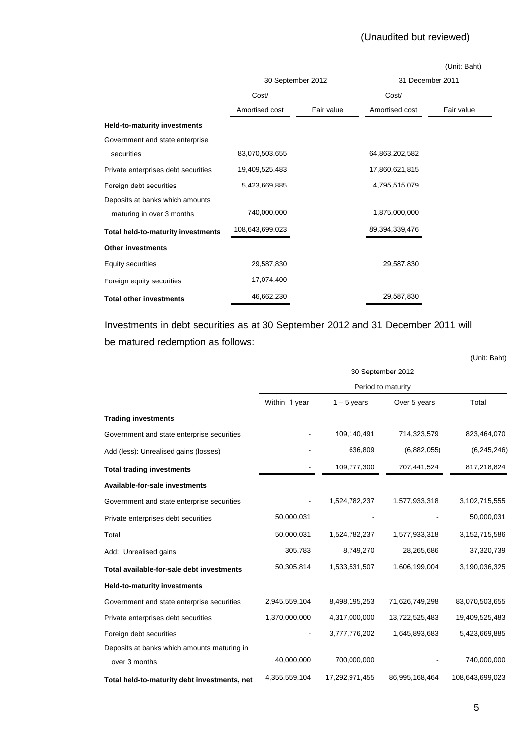# (Unaudited but reviewed)

|                                     |                   |            |                  | (Unit: Baht) |  |
|-------------------------------------|-------------------|------------|------------------|--------------|--|
|                                     | 30 September 2012 |            | 31 December 2011 |              |  |
|                                     | Cost/             |            | Cost/            |              |  |
|                                     | Amortised cost    | Fair value | Amortised cost   | Fair value   |  |
| Held-to-maturity investments        |                   |            |                  |              |  |
| Government and state enterprise     |                   |            |                  |              |  |
| securities                          | 83,070,503,655    |            | 64,863,202,582   |              |  |
| Private enterprises debt securities | 19,409,525,483    |            | 17,860,621,815   |              |  |
| Foreign debt securities             | 5,423,669,885     |            | 4,795,515,079    |              |  |
| Deposits at banks which amounts     |                   |            |                  |              |  |
| maturing in over 3 months           | 740,000,000       |            | 1,875,000,000    |              |  |
| Total held-to-maturity investments  | 108,643,699,023   |            | 89,394,339,476   |              |  |
| <b>Other investments</b>            |                   |            |                  |              |  |
| Equity securities                   | 29,587,830        |            | 29,587,830       |              |  |
| Foreign equity securities           | 17,074,400        |            |                  |              |  |
| <b>Total other investments</b>      | 46,662,230        |            | 29,587,830       |              |  |

Investments in debt securities as at 30 September 2012 and 31 December 2011 will be matured redemption as follows:

|                                              |                   |                |                    | (Unit: Baht)    |  |  |  |
|----------------------------------------------|-------------------|----------------|--------------------|-----------------|--|--|--|
|                                              | 30 September 2012 |                |                    |                 |  |  |  |
|                                              |                   |                | Period to maturity |                 |  |  |  |
|                                              | Within 1 year     | $1 - 5$ years  | Over 5 years       | Total           |  |  |  |
| <b>Trading investments</b>                   |                   |                |                    |                 |  |  |  |
| Government and state enterprise securities   |                   | 109,140,491    | 714,323,579        | 823,464,070     |  |  |  |
| Add (less): Unrealised gains (losses)        |                   | 636,809        | (6,882,055)        | (6, 245, 246)   |  |  |  |
| <b>Total trading investments</b>             |                   | 109,777,300    | 707,441,524        | 817,218,824     |  |  |  |
| <b>Available-for-sale investments</b>        |                   |                |                    |                 |  |  |  |
| Government and state enterprise securities   |                   | 1,524,782,237  | 1,577,933,318      | 3,102,715,555   |  |  |  |
| Private enterprises debt securities          | 50,000,031        |                |                    | 50,000,031      |  |  |  |
| Total                                        | 50,000,031        | 1,524,782,237  | 1,577,933,318      | 3,152,715,586   |  |  |  |
| Add: Unrealised gains                        | 305,783           | 8,749,270      | 28,265,686         | 37,320,739      |  |  |  |
| Total available-for-sale debt investments    | 50,305,814        | 1,533,531,507  | 1,606,199,004      | 3,190,036,325   |  |  |  |
| <b>Held-to-maturity investments</b>          |                   |                |                    |                 |  |  |  |
| Government and state enterprise securities   | 2,945,559,104     | 8,498,195,253  | 71,626,749,298     | 83,070,503,655  |  |  |  |
| Private enterprises debt securities          | 1,370,000,000     | 4,317,000,000  | 13,722,525,483     | 19,409,525,483  |  |  |  |
| Foreign debt securities                      |                   | 3,777,776,202  | 1,645,893,683      | 5,423,669,885   |  |  |  |
| Deposits at banks which amounts maturing in  |                   |                |                    |                 |  |  |  |
| over 3 months                                | 40,000,000        | 700,000,000    |                    | 740,000,000     |  |  |  |
| Total held-to-maturity debt investments, net | 4,355,559,104     | 17,292,971,455 | 86,995,168,464     | 108,643,699,023 |  |  |  |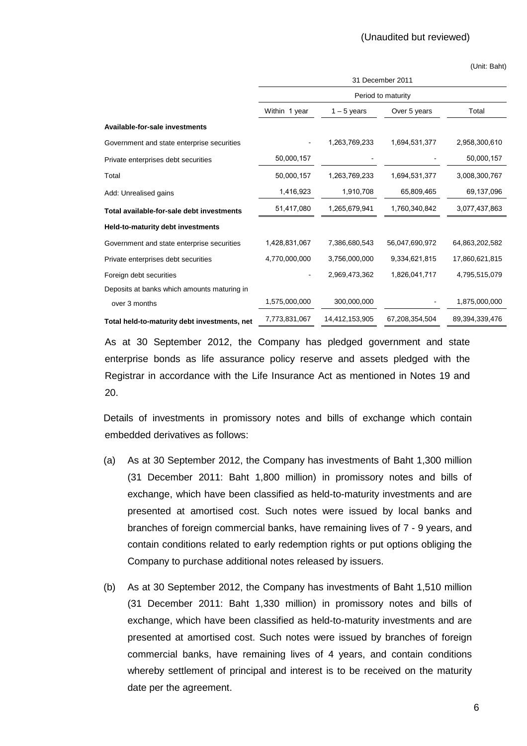|                                              | 31 December 2011   |                |                |                |  |  |  |
|----------------------------------------------|--------------------|----------------|----------------|----------------|--|--|--|
|                                              | Period to maturity |                |                |                |  |  |  |
|                                              | Within 1 year      | $1 - 5$ years  | Over 5 years   | Total          |  |  |  |
| Available-for-sale investments               |                    |                |                |                |  |  |  |
| Government and state enterprise securities   |                    | 1,263,769,233  | 1,694,531,377  | 2,958,300,610  |  |  |  |
| Private enterprises debt securities          | 50,000,157         |                |                | 50,000,157     |  |  |  |
| Total                                        | 50,000,157         | 1,263,769,233  | 1,694,531,377  | 3,008,300,767  |  |  |  |
| Add: Unrealised gains                        | 1,416,923          | 1,910,708      | 65,809,465     | 69,137,096     |  |  |  |
| Total available-for-sale debt investments    | 51,417,080         | 1,265,679,941  | 1,760,340,842  | 3,077,437,863  |  |  |  |
| Held-to-maturity debt investments            |                    |                |                |                |  |  |  |
| Government and state enterprise securities   | 1,428,831,067      | 7,386,680,543  | 56,047,690,972 | 64,863,202,582 |  |  |  |
| Private enterprises debt securities          | 4,770,000,000      | 3,756,000,000  | 9,334,621,815  | 17,860,621,815 |  |  |  |
| Foreign debt securities                      |                    | 2,969,473,362  | 1,826,041,717  | 4,795,515,079  |  |  |  |
| Deposits at banks which amounts maturing in  |                    |                |                |                |  |  |  |
| over 3 months                                | 1,575,000,000      | 300,000,000    |                | 1,875,000,000  |  |  |  |
| Total held-to-maturity debt investments, net | 7,773,831,067      | 14,412,153,905 | 67,208,354,504 | 89,394,339,476 |  |  |  |

As at 30 September 2012, the Company has pledged government and state enterprise bonds as life assurance policy reserve and assets pledged with the Registrar in accordance with the Life Insurance Act as mentioned in Notes 19 and 20.

 Details of investments in promissory notes and bills of exchange which contain embedded derivatives as follows:

- (a) As at 30 September 2012, the Company has investments of Baht 1,300 million (31 December 2011: Baht 1,800 million) in promissory notes and bills of exchange, which have been classified as held-to-maturity investments and are presented at amortised cost. Such notes were issued by local banks and branches of foreign commercial banks, have remaining lives of 7 - 9 years, and contain conditions related to early redemption rights or put options obliging the Company to purchase additional notes released by issuers.
- (b) As at 30 September 2012, the Company has investments of Baht 1,510 million (31 December 2011: Baht 1,330 million) in promissory notes and bills of exchange, which have been classified as held-to-maturity investments and are presented at amortised cost. Such notes were issued by branches of foreign commercial banks, have remaining lives of 4 years, and contain conditions whereby settlement of principal and interest is to be received on the maturity date per the agreement.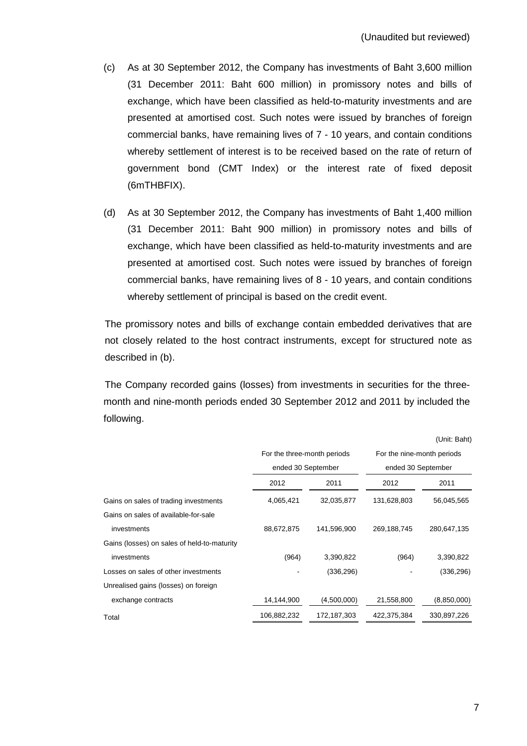- (c) As at 30 September 2012, the Company has investments of Baht 3,600 million (31 December 2011: Baht 600 million) in promissory notes and bills of exchange, which have been classified as held-to-maturity investments and are presented at amortised cost. Such notes were issued by branches of foreign commercial banks, have remaining lives of 7 - 10 years, and contain conditions whereby settlement of interest is to be received based on the rate of return of government bond (CMT Index) or the interest rate of fixed deposit (6mTHBFIX).
- (d) As at 30 September 2012, the Company has investments of Baht 1,400 million (31 December 2011: Baht 900 million) in promissory notes and bills of exchange, which have been classified as held-to-maturity investments and are presented at amortised cost. Such notes were issued by branches of foreign commercial banks, have remaining lives of 8 - 10 years, and contain conditions whereby settlement of principal is based on the credit event.

 The promissory notes and bills of exchange contain embedded derivatives that are not closely related to the host contract instruments, except for structured note as described in (b).

The Company recorded gains (losses) from investments in securities for the threemonth and nine-month periods ended 30 September 2012 and 2011 by included the following.

|                                             |                             |             |                            | (Unit: Baht)       |  |  |
|---------------------------------------------|-----------------------------|-------------|----------------------------|--------------------|--|--|
|                                             | For the three-month periods |             | For the nine-month periods |                    |  |  |
|                                             | ended 30 September          |             |                            | ended 30 September |  |  |
|                                             | 2012                        | 2011        | 2012                       | 2011               |  |  |
| Gains on sales of trading investments       | 4,065,421                   | 32,035,877  | 131,628,803                | 56,045,565         |  |  |
| Gains on sales of available-for-sale        |                             |             |                            |                    |  |  |
| investments                                 | 88,672,875                  | 141,596,900 | 269,188,745                | 280,647,135        |  |  |
| Gains (losses) on sales of held-to-maturity |                             |             |                            |                    |  |  |
| investments                                 | (964)                       | 3,390,822   | (964)                      | 3,390,822          |  |  |
| Losses on sales of other investments        |                             | (336, 296)  |                            | (336, 296)         |  |  |
| Unrealised gains (losses) on foreign        |                             |             |                            |                    |  |  |
| exchange contracts                          | 14,144,900                  | (4,500,000) | 21,558,800                 | (8,850,000)        |  |  |
| Total                                       | 106,882,232                 | 172,187,303 | 422.375.384                | 330,897,226        |  |  |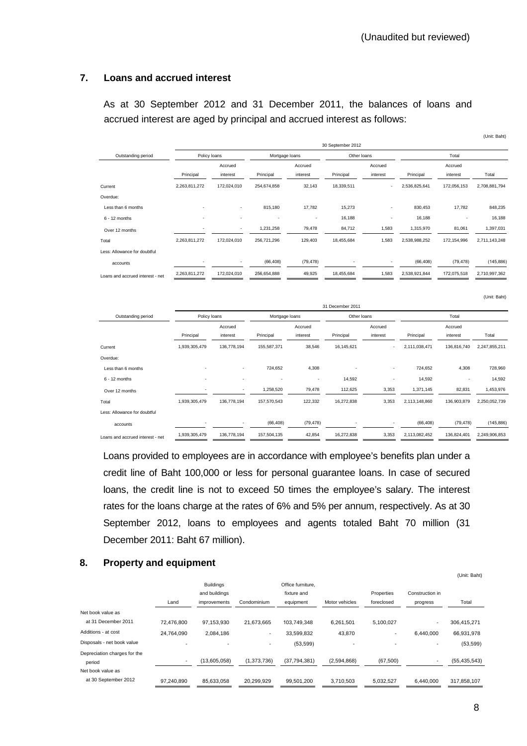(Unit: Baht)

(Unit: Baht)

#### **7. Loans and accrued interest**

 As at 30 September 2012 and 31 December 2011, the balances of loans and accrued interest are aged by principal and accrued interest as follows:

|                                  | 30 September 2012 |             |                |                          |             |                          |               |             |               |  |
|----------------------------------|-------------------|-------------|----------------|--------------------------|-------------|--------------------------|---------------|-------------|---------------|--|
| Outstanding period               | Policy loans      |             | Mortgage loans |                          | Other loans |                          |               | Total       |               |  |
|                                  |                   | Accrued     |                | Accrued                  |             | Accrued                  |               | Accrued     |               |  |
|                                  | Principal         | interest    | Principal      | interest                 | Principal   | interest                 | Principal     | interest    | Total         |  |
| Current                          | 2,263,811,272     | 172,024,010 | 254,674,858    | 32,143                   | 18,339,511  | $\overline{\phantom{a}}$ | 2,536,825,641 | 172,056,153 | 2,708,881,794 |  |
| Overdue:                         |                   |             |                |                          |             |                          |               |             |               |  |
| Less than 6 months               |                   | ٠           | 815,180        | 17,782                   | 15,273      | $\overline{\phantom{a}}$ | 830,453       | 17,782      | 848,235       |  |
| $6 - 12$ months                  |                   | ٠           | ٠              | $\overline{\phantom{a}}$ | 16,188      | $\overline{\phantom{a}}$ | 16,188        |             | 16,188        |  |
| Over 12 months                   |                   | ٠           | 1,231,258      | 79,478                   | 84,712      | 1,583                    | 1,315,970     | 81,061      | 1,397,031     |  |
| Total                            | 2,263,811,272     | 172,024,010 | 256,721,296    | 129,403                  | 18,455,684  | 1,583                    | 2,538,988,252 | 172,154,996 | 2,711,143,248 |  |
| Less: Allowance for doubtful     |                   |             |                |                          |             |                          |               |             |               |  |
| accounts                         |                   | ٠           | (66, 408)      | (79, 478)                |             | $\overline{\phantom{a}}$ | (66, 408)     | (79, 478)   | (145, 886)    |  |
| Loans and accrued interest - net | 2,263,811,272     | 172,024,010 | 256,654,888    | 49,925                   | 18,455,684  | 1,583                    | 2,538,921,844 | 172,075,518 | 2,710,997,362 |  |

|                                  | 31 December 2011 |                          |             |                |            |             |               |             |               |  |
|----------------------------------|------------------|--------------------------|-------------|----------------|------------|-------------|---------------|-------------|---------------|--|
| Outstanding period               | Policy loans     |                          |             | Mortgage loans |            | Other loans |               | Total       |               |  |
|                                  |                  | Accrued                  |             | Accrued        |            | Accrued     |               | Accrued     |               |  |
|                                  | Principal        | interest                 | Principal   | interest       | Principal  | interest    | Principal     | interest    | Total         |  |
| Current                          | 1,939,305,479    | 136,778,194              | 155,587,371 | 38,546         | 16,145,621 | ٠           | 2,111,038,471 | 136,816,740 | 2,247,855,211 |  |
| Overdue:                         |                  |                          |             |                |            |             |               |             |               |  |
| Less than 6 months               |                  | $\overline{\phantom{a}}$ | 724,652     | 4,308          |            | $\sim$      | 724,652       | 4,308       | 728,960       |  |
| $6 - 12$ months                  | -                | ٠                        | ٠           | ٠              | 14,592     | ٠           | 14,592        | ٠           | 14,592        |  |
| Over 12 months                   |                  | $\overline{\phantom{a}}$ | 1,258,520   | 79,478         | 112,625    | 3,353       | 1,371,145     | 82,831      | 1,453,976     |  |
| Total                            | 1,939,305,479    | 136,778,194              | 157,570,543 | 122,332        | 16,272,838 | 3,353       | 2,113,148,860 | 136,903,879 | 2,250,052,739 |  |
| Less: Allowance for doubtful     |                  |                          |             |                |            |             |               |             |               |  |
| accounts                         |                  | $\overline{\phantom{a}}$ | (66, 408)   | (79, 478)      |            | $\sim$      | (66, 408)     | (79, 478)   | (145, 886)    |  |
| Loans and accrued interest - net | 1,939,305,479    | 136,778,194              | 157,504,135 | 42,854         | 16,272,838 | 3,353       | 2,113,082,452 | 136,824,401 | 2,249,906,853 |  |

 Loans provided to employees are in accordance with employee's benefits plan under a credit line of Baht 100,000 or less for personal guarantee loans. In case of secured loans, the credit line is not to exceed 50 times the employee's salary. The interest rates for the loans charge at the rates of 6% and 5% per annum, respectively. As at 30 September 2012, loans to employees and agents totaled Baht 70 million (31 December 2011: Baht 67 million).

#### **8. Property and equipment**

| о.<br>Property and equipment |                          |                                   |             |                                  |                |                          |                 |                |
|------------------------------|--------------------------|-----------------------------------|-------------|----------------------------------|----------------|--------------------------|-----------------|----------------|
|                              |                          | <b>Buildings</b><br>and buildings |             | Office furniture.<br>fixture and |                | Properties               | Construction in | (Unit: Baht)   |
|                              | Land                     | improvements                      | Condominium | equipment                        | Motor vehicles | foreclosed               | progress        | Total          |
| Net book value as            |                          |                                   |             |                                  |                |                          |                 |                |
| at 31 December 2011          | 72.476.800               | 97.153.930                        | 21,673,665  | 103.749.348                      | 6,261,501      | 5,100,027                | ۰               | 306,415,271    |
| Additions - at cost          | 24,764,090               | 2,084,186                         |             | 33,599,832                       | 43,870         | $\overline{\phantom{a}}$ | 6.440.000       | 66,931,978     |
| Disposals - net book value   |                          |                                   |             | (53, 599)                        | ٠              |                          | ٠               | (53, 599)      |
| Depreciation charges for the |                          |                                   |             |                                  |                |                          |                 |                |
| period                       | $\overline{\phantom{a}}$ | (13,605,058)                      | (1,373,736) | (37, 794, 381)                   | (2,594,868)    | (67, 500)                |                 | (55, 435, 543) |
| Net book value as            |                          |                                   |             |                                  |                |                          |                 |                |
| at 30 September 2012         | 97,240,890               | 85,633,058                        | 20,299,929  | 99,501,200                       | 3,710,503      | 5,032,527                | 6,440,000       | 317,858,107    |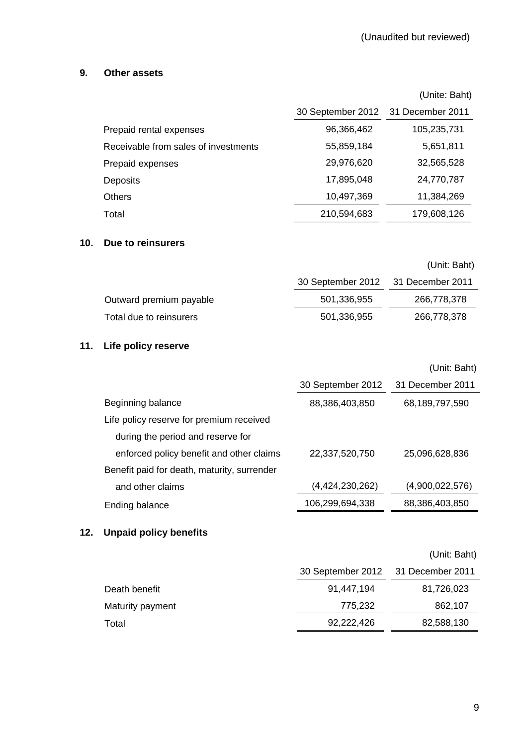# **9. Other assets**

|                                      |                                    | (Unite: Baht) |
|--------------------------------------|------------------------------------|---------------|
|                                      | 30 September 2012 31 December 2011 |               |
| Prepaid rental expenses              | 96,366,462                         | 105,235,731   |
| Receivable from sales of investments | 55,859,184                         | 5,651,811     |
| Prepaid expenses                     | 29,976,620                         | 32,565,528    |
| Deposits                             | 17,895,048                         | 24,770,787    |
| Others                               | 10,497,369                         | 11,384,269    |
| Total                                | 210,594,683                        | 179,608,126   |

### **10**. **Due to reinsurers**

|                         |                                    | (Unit: Baht) |
|-------------------------|------------------------------------|--------------|
|                         | 30 September 2012 31 December 2011 |              |
| Outward premium payable | 501,336,955                        | 266,778,378  |
| Total due to reinsurers | 501,336,955                        | 266,778,378  |
|                         |                                    |              |

# **11. Life policy reserve**

|                                             |                   | (Unit: Baht)     |
|---------------------------------------------|-------------------|------------------|
|                                             | 30 September 2012 | 31 December 2011 |
| Beginning balance                           | 88,386,403,850    | 68,189,797,590   |
| Life policy reserve for premium received    |                   |                  |
| during the period and reserve for           |                   |                  |
| enforced policy benefit and other claims    | 22,337,520,750    | 25.096.628.836   |
| Benefit paid for death, maturity, surrender |                   |                  |
| and other claims                            | (4,424,230,262)   | (4,900,022,576)  |
| Ending balance                              | 106.299.694.338   | 88.386.403.850   |

# **12. Unpaid policy benefits**

# (Unit: Baht)

|                  | 30 September 2012 31 December 2011 |            |
|------------------|------------------------------------|------------|
| Death benefit    | 91,447,194                         | 81,726,023 |
| Maturity payment | 775.232                            | 862,107    |
| Total            | 92,222,426                         | 82,588,130 |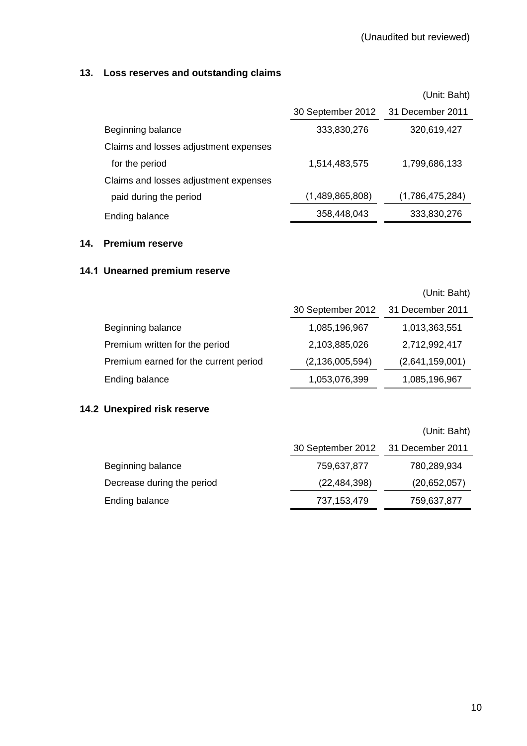# **13. Loss reserves and outstanding claims**

|                                       |                   | (Unit: Baht)     |
|---------------------------------------|-------------------|------------------|
|                                       | 30 September 2012 | 31 December 2011 |
| Beginning balance                     | 333,830,276       | 320,619,427      |
| Claims and losses adjustment expenses |                   |                  |
| for the period                        | 1,514,483,575     | 1,799,686,133    |
| Claims and losses adjustment expenses |                   |                  |
| paid during the period                | (1,489,865,808)   | (1,786,475,284)  |
| Ending balance                        | 358,448,043       | 333,830,276      |

### **14. Premium reserve**

# **14.1 Unearned premium reserve**

|                                       |                    | (Unit: Baht)     |
|---------------------------------------|--------------------|------------------|
|                                       | 30 September 2012  | 31 December 2011 |
| Beginning balance                     | 1,085,196,967      | 1,013,363,551    |
| Premium written for the period        | 2,103,885,026      | 2,712,992,417    |
| Premium earned for the current period | (2, 136, 005, 594) | (2,641,159,001)  |
| Ending balance                        | 1,053,076,399      | 1,085,196,967    |

# **14.2 Unexpired risk reserve**

|                            | 30 September 2012 31 December 2011 |              |
|----------------------------|------------------------------------|--------------|
| Beginning balance          | 759,637,877                        | 780,289,934  |
| Decrease during the period | (22, 484, 398)                     | (20,652,057) |
| Ending balance             | 737, 153, 479                      | 759,637,877  |

(Unit: Baht)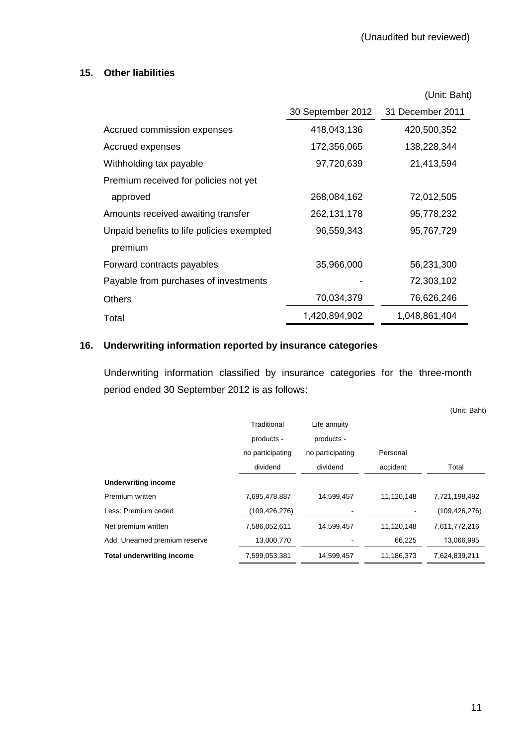# **15. Other liabilities**

|                                                      |                   | (Unit: Baht)     |
|------------------------------------------------------|-------------------|------------------|
|                                                      | 30 September 2012 | 31 December 2011 |
| Accrued commission expenses                          | 418,043,136       | 420,500,352      |
| Accrued expenses                                     | 172,356,065       | 138,228,344      |
| Withholding tax payable                              | 97,720,639        | 21,413,594       |
| Premium received for policies not yet                |                   |                  |
| approved                                             | 268,084,162       | 72,012,505       |
| Amounts received awaiting transfer                   | 262,131,178       | 95,778,232       |
| Unpaid benefits to life policies exempted<br>premium | 96,559,343        | 95,767,729       |
| Forward contracts payables                           | 35,966,000        | 56,231,300       |
| Payable from purchases of investments                |                   | 72,303,102       |
| <b>Others</b>                                        | 70,034,379        | 76,626,246       |
| Total                                                | 1,420,894,902     | 1,048,861,404    |

# **16. Underwriting information reported by insurance categories**

 Underwriting information classified by insurance categories for the three-month period ended 30 September 2012 is as follows:

|                                  |                  |                  |            | (Unit: Baht)    |
|----------------------------------|------------------|------------------|------------|-----------------|
|                                  | Traditional      | Life annuity     |            |                 |
|                                  | products -       | products -       |            |                 |
|                                  | no participating | no participating | Personal   |                 |
|                                  | dividend         | dividend         | accident   | Total           |
| <b>Underwriting income</b>       |                  |                  |            |                 |
| Premium written                  | 7,695,478,887    | 14,599,457       | 11,120,148 | 7,721,198,492   |
| Less: Premium ceded              | (109,426,276)    |                  |            | (109, 426, 276) |
| Net premium written              | 7,586,052,611    | 14,599,457       | 11,120,148 | 7,611,772,216   |
| Add: Unearned premium reserve    | 13,000,770       |                  | 66,225     | 13,066,995      |
| <b>Total underwriting income</b> | 7,599,053,381    | 14,599,457       | 11,186,373 | 7,624,839,211   |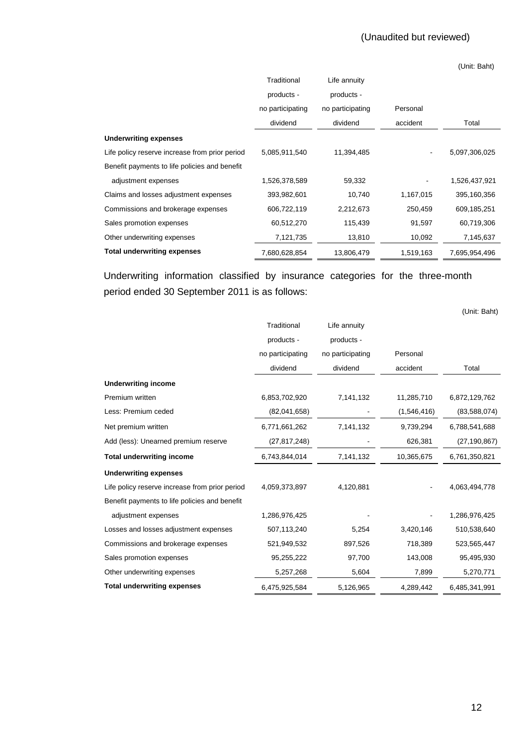(Unit: Baht)

|                                                | Traditional      | Life annuity     |           |               |
|------------------------------------------------|------------------|------------------|-----------|---------------|
|                                                | products -       | products -       |           |               |
|                                                | no participating | no participating | Personal  |               |
|                                                | dividend         | dividend         | accident  | Total         |
| <b>Underwriting expenses</b>                   |                  |                  |           |               |
| Life policy reserve increase from prior period | 5,085,911,540    | 11,394,485       |           | 5,097,306,025 |
| Benefit payments to life policies and benefit  |                  |                  |           |               |
| adjustment expenses                            | 1,526,378,589    | 59,332           |           | 1,526,437,921 |
| Claims and losses adjustment expenses          | 393,982,601      | 10,740           | 1,167,015 | 395,160,356   |
| Commissions and brokerage expenses             | 606,722,119      | 2,212,673        | 250,459   | 609,185,251   |
| Sales promotion expenses                       | 60,512,270       | 115,439          | 91,597    | 60,719,306    |
| Other underwriting expenses                    | 7,121,735        | 13,810           | 10,092    | 7,145,637     |
| <b>Total underwriting expenses</b>             | 7,680,628,854    | 13,806,479       | 1,519,163 | 7,695,954,496 |

 Underwriting information classified by insurance categories for the three-month period ended 30 September 2011 is as follows:

(Unit: Baht)

|                                                | Traditional      | Life annuity     |             |                |
|------------------------------------------------|------------------|------------------|-------------|----------------|
|                                                | products -       | products -       |             |                |
|                                                | no participating | no participating | Personal    |                |
|                                                | dividend         | dividend         | accident    | Total          |
| <b>Underwriting income</b>                     |                  |                  |             |                |
| Premium written                                | 6,853,702,920    | 7,141,132        | 11,285,710  | 6,872,129,762  |
| Less: Premium ceded                            | (82,041,658)     |                  | (1,546,416) | (83,588,074)   |
| Net premium written                            | 6,771,661,262    | 7,141,132        | 9,739,294   | 6,788,541,688  |
| Add (less): Unearned premium reserve           | (27, 817, 248)   |                  | 626,381     | (27, 190, 867) |
| <b>Total underwriting income</b>               | 6,743,844,014    | 7,141,132        | 10,365,675  | 6,761,350,821  |
| <b>Underwriting expenses</b>                   |                  |                  |             |                |
| Life policy reserve increase from prior period | 4,059,373,897    | 4,120,881        |             | 4,063,494,778  |
| Benefit payments to life policies and benefit  |                  |                  |             |                |
| adjustment expenses                            | 1,286,976,425    |                  |             | 1,286,976,425  |
| Losses and losses adjustment expenses          | 507,113,240      | 5,254            | 3,420,146   | 510,538,640    |
| Commissions and brokerage expenses             | 521,949,532      | 897,526          | 718,389     | 523,565,447    |
| Sales promotion expenses                       | 95,255,222       | 97,700           | 143,008     | 95,495,930     |
| Other underwriting expenses                    | 5,257,268        | 5,604            | 7,899       | 5,270,771      |
| <b>Total underwriting expenses</b>             | 6,475,925,584    | 5,126,965        | 4,289,442   | 6,485,341,991  |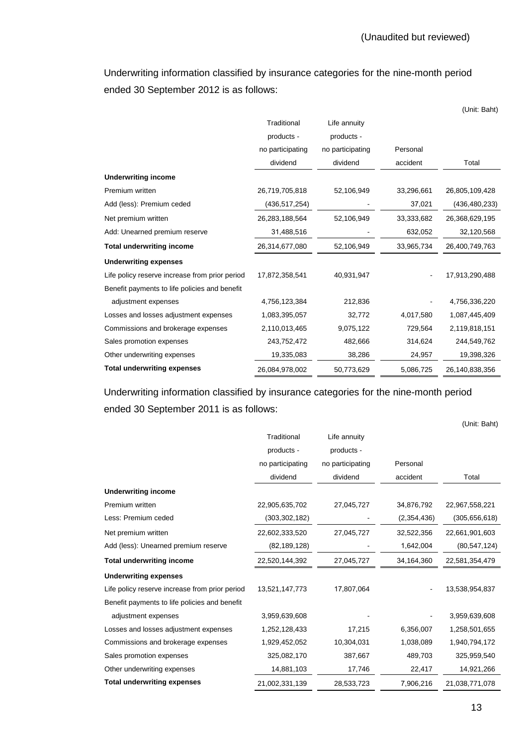Underwriting information classified by insurance categories for the nine-month period ended 30 September 2012 is as follows:

|                                                |                  |                  |            | (Unit: Baht)    |
|------------------------------------------------|------------------|------------------|------------|-----------------|
|                                                | Traditional      | Life annuity     |            |                 |
|                                                | products -       | products -       |            |                 |
|                                                | no participating | no participating | Personal   |                 |
|                                                | dividend         | dividend         | accident   | Total           |
| <b>Underwriting income</b>                     |                  |                  |            |                 |
| Premium written                                | 26,719,705,818   | 52,106,949       | 33,296,661 | 26,805,109,428  |
| Add (less): Premium ceded                      | (436, 517, 254)  |                  | 37,021     | (436, 480, 233) |
| Net premium written                            | 26,283,188,564   | 52,106,949       | 33,333,682 | 26,368,629,195  |
| Add: Unearned premium reserve                  | 31,488,516       |                  | 632,052    | 32,120,568      |
| <b>Total underwriting income</b>               | 26,314,677,080   | 52,106,949       | 33,965,734 | 26,400,749,763  |
| <b>Underwriting expenses</b>                   |                  |                  |            |                 |
| Life policy reserve increase from prior period | 17,872,358,541   | 40,931,947       |            | 17,913,290,488  |
| Benefit payments to life policies and benefit  |                  |                  |            |                 |
| adjustment expenses                            | 4,756,123,384    | 212,836          |            | 4,756,336,220   |
| Losses and losses adjustment expenses          | 1,083,395,057    | 32,772           | 4,017,580  | 1,087,445,409   |
| Commissions and brokerage expenses             | 2,110,013,465    | 9,075,122        | 729,564    | 2,119,818,151   |
| Sales promotion expenses                       | 243,752,472      | 482,666          | 314,624    | 244,549,762     |
| Other underwriting expenses                    | 19,335,083       | 38,286           | 24,957     | 19,398,326      |
| <b>Total underwriting expenses</b>             | 26,084,978,002   | 50,773,629       | 5,086,725  | 26,140,838,356  |

 Underwriting information classified by insurance categories for the nine-month period ended 30 September 2011 is as follows:

|                                                | Traditional      | Life annuity     |             |                 |
|------------------------------------------------|------------------|------------------|-------------|-----------------|
|                                                | products -       | products -       |             |                 |
|                                                | no participating | no participating | Personal    |                 |
|                                                | dividend         | dividend         | accident    | Total           |
| <b>Underwriting income</b>                     |                  |                  |             |                 |
| Premium written                                | 22,905,635,702   | 27,045,727       | 34,876,792  | 22,967,558,221  |
| Less: Premium ceded                            | (303, 302, 182)  |                  | (2,354,436) | (305, 656, 618) |
| Net premium written                            | 22,602,333,520   | 27,045,727       | 32,522,356  | 22,661,901,603  |
| Add (less): Unearned premium reserve           | (82, 189, 128)   |                  | 1,642,004   | (80, 547, 124)  |
| <b>Total underwriting income</b>               | 22,520,144,392   | 27,045,727       | 34,164,360  | 22,581,354,479  |
| <b>Underwriting expenses</b>                   |                  |                  |             |                 |
| Life policy reserve increase from prior period | 13,521,147,773   | 17,807,064       |             | 13,538,954,837  |
| Benefit payments to life policies and benefit  |                  |                  |             |                 |
| adjustment expenses                            | 3,959,639,608    |                  |             | 3,959,639,608   |
| Losses and losses adjustment expenses          | 1,252,128,433    | 17,215           | 6,356,007   | 1,258,501,655   |
| Commissions and brokerage expenses             | 1,929,452,052    | 10,304,031       | 1,038,089   | 1,940,794,172   |
| Sales promotion expenses                       | 325,082,170      | 387,667          | 489,703     | 325,959,540     |
| Other underwriting expenses                    | 14,881,103       | 17,746           | 22,417      | 14,921,266      |
| <b>Total underwriting expenses</b>             | 21,002,331,139   | 28,533,723       | 7,906,216   | 21,038,771,078  |

(Unit: Baht)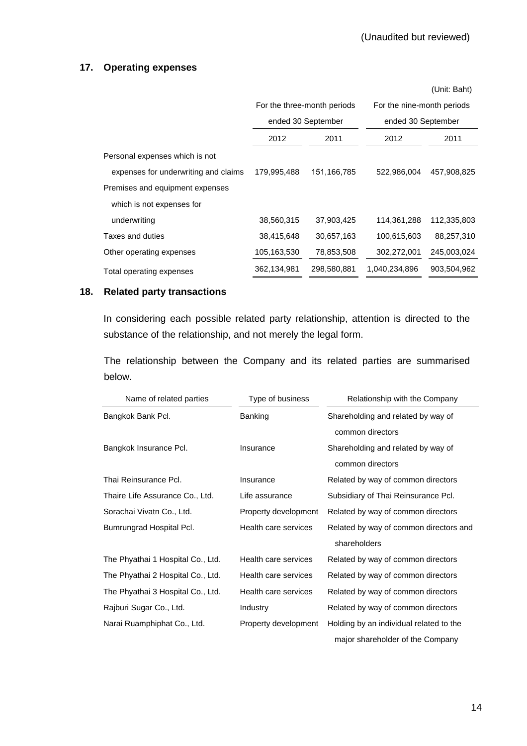#### **17. Operating expenses**

|                                      |             |                             |                            | (Unit: Baht)       |
|--------------------------------------|-------------|-----------------------------|----------------------------|--------------------|
|                                      |             | For the three-month periods | For the nine-month periods |                    |
|                                      |             | ended 30 September          |                            | ended 30 September |
|                                      | 2012        | 2011                        | 2012                       | 2011               |
| Personal expenses which is not       |             |                             |                            |                    |
| expenses for underwriting and claims | 179,995,488 | 151,166,785                 | 522,986,004                | 457,908,825        |
| Premises and equipment expenses      |             |                             |                            |                    |
| which is not expenses for            |             |                             |                            |                    |
| underwriting                         | 38,560,315  | 37,903,425                  | 114,361,288                | 112,335,803        |
| Taxes and duties                     | 38,415,648  | 30,657,163                  | 100,615,603                | 88,257,310         |
| Other operating expenses             | 105,163,530 | 78,853,508                  | 302,272,001                | 245,003,024        |
| Total operating expenses             | 362,134,981 | 298,580,881                 | 1,040,234,896              | 903,504,962        |

#### **18. Related party transactions**

 In considering each possible related party relationship, attention is directed to the substance of the relationship, and not merely the legal form.

 The relationship between the Company and its related parties are summarised below.

| Name of related parties           | Type of business     | Relationship with the Company           |
|-----------------------------------|----------------------|-----------------------------------------|
| Bangkok Bank Pcl.                 | <b>Banking</b>       | Shareholding and related by way of      |
|                                   |                      | common directors                        |
| Bangkok Insurance Pcl.            | Insurance            | Shareholding and related by way of      |
|                                   |                      | common directors                        |
| Thai Reinsurance Pcl.             | Insurance            | Related by way of common directors      |
| Thaire Life Assurance Co., Ltd.   | Life assurance       | Subsidiary of Thai Reinsurance Pcl.     |
| Sorachai Vivatn Co., Ltd.         | Property development | Related by way of common directors      |
| Bumrungrad Hospital Pcl.          | Health care services | Related by way of common directors and  |
|                                   |                      | shareholders                            |
| The Phyathai 1 Hospital Co., Ltd. | Health care services | Related by way of common directors      |
| The Phyathai 2 Hospital Co., Ltd. | Health care services | Related by way of common directors      |
| The Phyathai 3 Hospital Co., Ltd. | Health care services | Related by way of common directors      |
| Rajburi Sugar Co., Ltd.           | Industry             | Related by way of common directors      |
| Narai Ruamphiphat Co., Ltd.       | Property development | Holding by an individual related to the |
|                                   |                      | major shareholder of the Company        |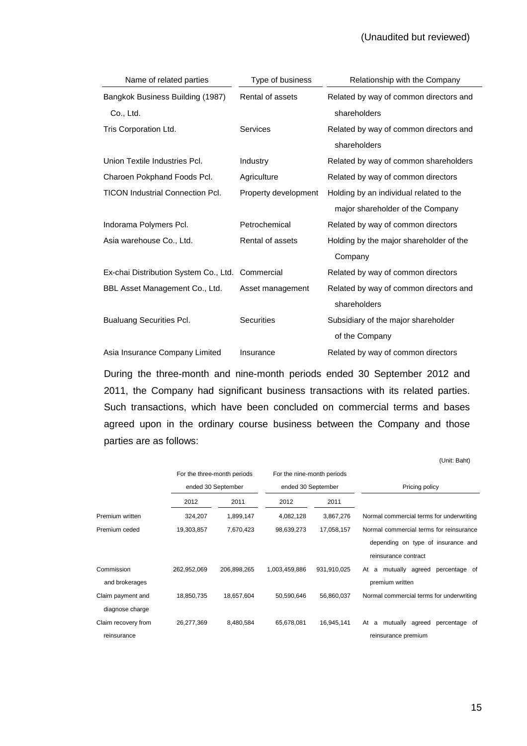#### (Unaudited but reviewed)

| Name of related parties                          | Type of business     | Relationship with the Company           |
|--------------------------------------------------|----------------------|-----------------------------------------|
| Bangkok Business Building (1987)                 | Rental of assets     | Related by way of common directors and  |
| Co., Ltd.                                        |                      | shareholders                            |
| Tris Corporation Ltd.                            | Services             | Related by way of common directors and  |
|                                                  |                      | shareholders                            |
| Union Textile Industries Pcl.                    | Industry             | Related by way of common shareholders   |
| Charoen Pokphand Foods Pcl.                      | Agriculture          | Related by way of common directors      |
| <b>TICON Industrial Connection Pcl.</b>          | Property development | Holding by an individual related to the |
|                                                  |                      | major shareholder of the Company        |
| Indorama Polymers Pcl.                           | Petrochemical        | Related by way of common directors      |
| Asia warehouse Co., Ltd.                         | Rental of assets     | Holding by the major shareholder of the |
|                                                  |                      | Company                                 |
| Ex-chai Distribution System Co., Ltd. Commercial |                      | Related by way of common directors      |
| BBL Asset Management Co., Ltd.                   | Asset management     | Related by way of common directors and  |
|                                                  |                      | shareholders                            |
| <b>Bualuang Securities Pcl.</b>                  | <b>Securities</b>    | Subsidiary of the major shareholder     |
|                                                  |                      | of the Company                          |
| Asia Insurance Company Limited                   | Insurance            | Related by way of common directors      |

During the three-month and nine-month periods ended 30 September 2012 and 2011, the Company had significant business transactions with its related parties. Such transactions, which have been concluded on commercial terms and bases agreed upon in the ordinary course business between the Company and those parties are as follows:

|                     |             |                             |                            |             | (Unit: Baht)                             |
|---------------------|-------------|-----------------------------|----------------------------|-------------|------------------------------------------|
|                     |             | For the three-month periods | For the nine-month periods |             |                                          |
|                     |             | ended 30 September          | ended 30 September         |             | Pricing policy                           |
|                     | 2012        | 2011                        | 2012                       | 2011        |                                          |
| Premium written     | 324,207     | 1,899,147                   | 4,082,128                  | 3,867,276   | Normal commercial terms for underwriting |
| Premium ceded       | 19,303,857  | 7,670,423                   | 98,639,273                 | 17,058,157  | Normal commercial terms for reinsurance  |
|                     |             |                             |                            |             | depending on type of insurance and       |
|                     |             |                             |                            |             | reinsurance contract                     |
| Commission          | 262,952,069 | 206,898,265                 | 1,003,459,886              | 931,910,025 | a mutually agreed percentage of<br>At    |
| and brokerages      |             |                             |                            |             | premium written                          |
| Claim payment and   | 18,850,735  | 18,657,604                  | 50,590,646                 | 56,860,037  | Normal commercial terms for underwriting |
| diagnose charge     |             |                             |                            |             |                                          |
| Claim recovery from | 26,277,369  | 8,480,584                   | 65,678,081                 | 16,945,141  | a mutually agreed percentage of<br>At    |
| reinsurance         |             |                             |                            |             | reinsurance premium                      |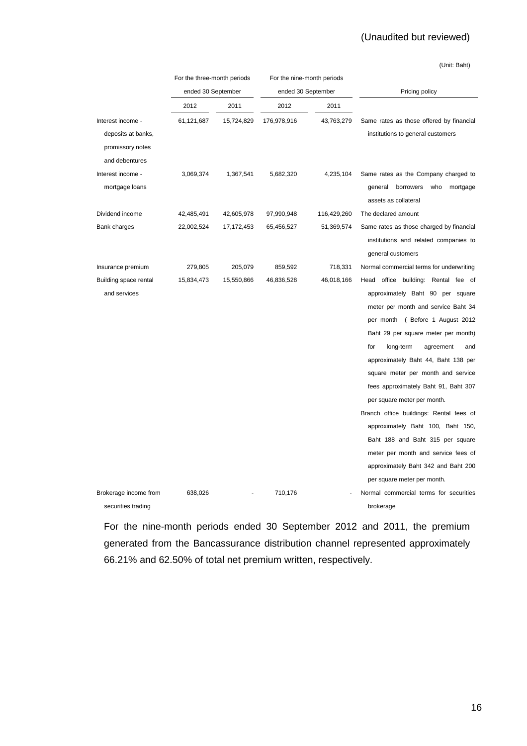# (Unaudited but reviewed)

(Unit: Baht)

|                       | For the three-month periods |            | For the nine-month periods |                    |                                                                 |
|-----------------------|-----------------------------|------------|----------------------------|--------------------|-----------------------------------------------------------------|
|                       | ended 30 September          |            |                            | ended 30 September | Pricing policy                                                  |
|                       | 2012                        | 2011       | 2012                       | 2011               |                                                                 |
| Interest income -     | 61,121,687                  | 15,724,829 | 176,978,916                | 43,763,279         | Same rates as those offered by financial                        |
| deposits at banks,    |                             |            |                            |                    | institutions to general customers                               |
| promissory notes      |                             |            |                            |                    |                                                                 |
| and debentures        |                             |            |                            |                    |                                                                 |
| Interest income -     | 3,069,374                   | 1,367,541  | 5,682,320                  | 4,235,104          | Same rates as the Company charged to                            |
| mortgage loans        |                             |            |                            |                    | who<br>general<br>borrowers<br>mortgage<br>assets as collateral |
| Dividend income       | 42,485,491                  | 42,605,978 | 97,990,948                 | 116,429,260        | The declared amount                                             |
| Bank charges          | 22,002,524                  | 17,172,453 | 65,456,527                 | 51,369,574         | Same rates as those charged by financial                        |
|                       |                             |            |                            |                    | institutions and related companies to                           |
|                       |                             |            |                            |                    | general customers                                               |
| Insurance premium     | 279,805                     | 205,079    | 859,592                    | 718,331            | Normal commercial terms for underwriting                        |
| Building space rental | 15,834,473                  | 15,550,866 | 46,836,528                 | 46,018,166         | Head office building: Rental fee of                             |
| and services          |                             |            |                            |                    | approximately Baht 90 per square                                |
|                       |                             |            |                            |                    | meter per month and service Baht 34                             |
|                       |                             |            |                            |                    | per month ( Before 1 August 2012                                |
|                       |                             |            |                            |                    | Baht 29 per square meter per month)                             |
|                       |                             |            |                            |                    | for<br>long-term<br>agreement<br>and                            |
|                       |                             |            |                            |                    | approximately Baht 44, Baht 138 per                             |
|                       |                             |            |                            |                    | square meter per month and service                              |
|                       |                             |            |                            |                    | fees approximately Baht 91, Baht 307                            |
|                       |                             |            |                            |                    | per square meter per month.                                     |
|                       |                             |            |                            |                    | Branch office buildings: Rental fees of                         |
|                       |                             |            |                            |                    | approximately Baht 100, Baht 150,                               |
|                       |                             |            |                            |                    | Baht 188 and Baht 315 per square                                |
|                       |                             |            |                            |                    | meter per month and service fees of                             |
|                       |                             |            |                            |                    | approximately Baht 342 and Baht 200                             |
|                       |                             |            |                            |                    | per square meter per month.                                     |
| Brokerage income from | 638,026                     |            | 710,176                    |                    | Normal commercial terms for securities                          |
| securities trading    |                             |            |                            |                    | brokerage                                                       |

For the nine-month periods ended 30 September 2012 and 2011, the premium generated from the Bancassurance distribution channel represented approximately 66.21% and 62.50% of total net premium written, respectively.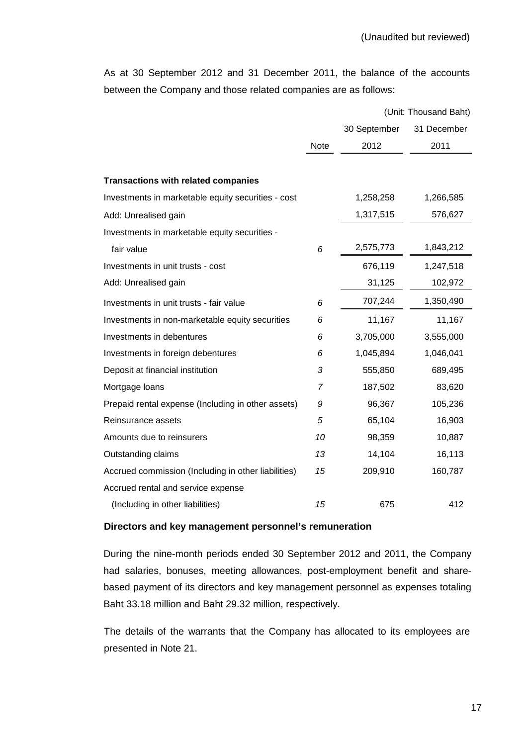As at 30 September 2012 and 31 December 2011, the balance of the accounts between the Company and those related companies are as follows:

|                                                     |      |              | (Unit: Thousand Baht) |
|-----------------------------------------------------|------|--------------|-----------------------|
|                                                     |      | 30 September | 31 December           |
|                                                     | Note | 2012         | 2011                  |
|                                                     |      |              |                       |
| <b>Transactions with related companies</b>          |      |              |                       |
| Investments in marketable equity securities - cost  |      | 1,258,258    | 1,266,585             |
| Add: Unrealised gain                                |      | 1,317,515    | 576,627               |
| Investments in marketable equity securities -       |      |              |                       |
| fair value                                          | 6    | 2,575,773    | 1,843,212             |
| Investments in unit trusts - cost                   |      | 676,119      | 1,247,518             |
| Add: Unrealised gain                                |      | 31,125       | 102,972               |
| Investments in unit trusts - fair value             | 6    | 707,244      | 1,350,490             |
| Investments in non-marketable equity securities     | 6    | 11,167       | 11,167                |
| Investments in debentures                           | 6    | 3,705,000    | 3,555,000             |
| Investments in foreign debentures                   | 6    | 1,045,894    | 1,046,041             |
| Deposit at financial institution                    | 3    | 555,850      | 689,495               |
| Mortgage loans                                      | 7    | 187,502      | 83,620                |
| Prepaid rental expense (Including in other assets)  | 9    | 96,367       | 105,236               |
| Reinsurance assets                                  | 5    | 65,104       | 16,903                |
| Amounts due to reinsurers                           | 10   | 98,359       | 10,887                |
| Outstanding claims                                  | 13   | 14,104       | 16,113                |
| Accrued commission (Including in other liabilities) | 15   | 209,910      | 160,787               |
| Accrued rental and service expense                  |      |              |                       |
| (Including in other liabilities)                    | 15   | 675          | 412                   |

#### **Directors and key management personnel's remuneration**

 During the nine-month periods ended 30 September 2012 and 2011, the Company had salaries, bonuses, meeting allowances, post-employment benefit and sharebased payment of its directors and key management personnel as expenses totaling Baht 33.18 million and Baht 29.32 million, respectively.

 The details of the warrants that the Company has allocated to its employees are presented in Note 21.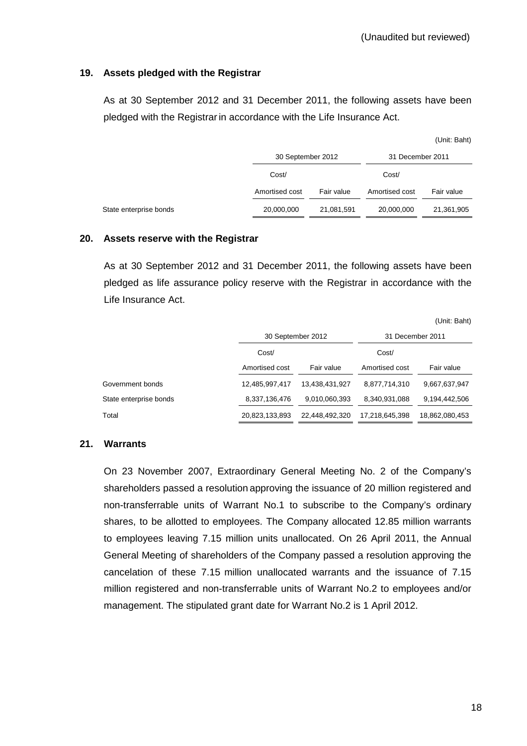# **19. Assets pledged with the Registrar**

 As at 30 September 2012 and 31 December 2011, the following assets have been pledged with the Registrar in accordance with the Life Insurance Act.

|                        |                   |            |                  | (Unit: Baht) |  |
|------------------------|-------------------|------------|------------------|--------------|--|
|                        | 30 September 2012 |            | 31 December 2011 |              |  |
|                        | Cost/             |            | Cost/            |              |  |
|                        | Amortised cost    | Fair value | Amortised cost   | Fair value   |  |
| State enterprise bonds | 20,000,000        | 21,081,591 | 20,000,000       | 21,361,905   |  |

#### **20. Assets reserve with the Registrar**

 As at 30 September 2012 and 31 December 2011, the following assets have been pledged as life assurance policy reserve with the Registrar in accordance with the Life Insurance Act.

(Unit: Baht)

|                        |                | 30 September 2012 |                | 31 December 2011 |  |
|------------------------|----------------|-------------------|----------------|------------------|--|
|                        | Cost/          |                   |                |                  |  |
| Amortised cost         |                | Fair value        | Amortised cost | Fair value       |  |
| Government bonds       | 12,485,997,417 | 13,438,431,927    | 8,877,714,310  | 9,667,637,947    |  |
| State enterprise bonds | 8,337,136,476  | 9,010,060,393     | 8,340,931,088  | 9,194,442,506    |  |
| Total                  | 20,823,133,893 | 22,448,492,320    | 17,218,645,398 | 18,862,080,453   |  |

#### **21. Warrants**

On 23 November 2007, Extraordinary General Meeting No. 2 of the Company's shareholders passed a resolution approving the issuance of 20 million registered and non-transferrable units of Warrant No.1 to subscribe to the Company's ordinary shares, to be allotted to employees. The Company allocated 12.85 million warrants to employees leaving 7.15 million units unallocated. On 26 April 2011, the Annual General Meeting of shareholders of the Company passed a resolution approving the cancelation of these 7.15 million unallocated warrants and the issuance of 7.15 million registered and non-transferrable units of Warrant No.2 to employees and/or management. The stipulated grant date for Warrant No.2 is 1 April 2012.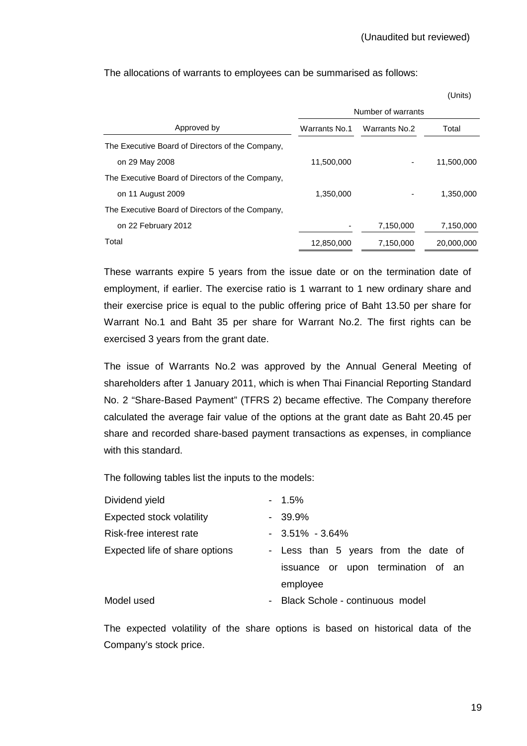The allocations of warrants to employees can be summarised as follows:

|                                                  |               |                    | (Units)    |
|--------------------------------------------------|---------------|--------------------|------------|
|                                                  |               | Number of warrants |            |
| Approved by                                      | Warrants No.1 | Warrants No.2      | Total      |
| The Executive Board of Directors of the Company, |               |                    |            |
| on 29 May 2008                                   | 11,500,000    |                    | 11,500,000 |
| The Executive Board of Directors of the Company, |               |                    |            |
| on 11 August 2009                                | 1,350,000     |                    | 1,350,000  |
| The Executive Board of Directors of the Company, |               |                    |            |
| on 22 February 2012                              |               | 7,150,000          | 7,150,000  |
| Total                                            | 12,850,000    | 7,150,000          | 20,000,000 |

 These warrants expire 5 years from the issue date or on the termination date of employment, if earlier. The exercise ratio is 1 warrant to 1 new ordinary share and their exercise price is equal to the public offering price of Baht 13.50 per share for Warrant No.1 and Baht 35 per share for Warrant No.2. The first rights can be exercised 3 years from the grant date.

 The issue of Warrants No.2 was approved by the Annual General Meeting of shareholders after 1 January 2011, which is when Thai Financial Reporting Standard No. 2 "Share-Based Payment" (TFRS 2) became effective. The Company therefore calculated the average fair value of the options at the grant date as Baht 20.45 per share and recorded share-based payment transactions as expenses, in compliance with this standard.

The following tables list the inputs to the models:

| Dividend yield                   | $-1.5\%$                             |
|----------------------------------|--------------------------------------|
| <b>Expected stock volatility</b> | $-39.9%$                             |
| Risk-free interest rate          | $-3.51\% - 3.64\%$                   |
| Expected life of share options   | - Less than 5 years from the date of |
|                                  | issuance or upon termination of an   |
|                                  | employee                             |
| Model used                       | - Black Schole - continuous model    |
|                                  |                                      |

 The expected volatility of the share options is based on historical data of the Company's stock price.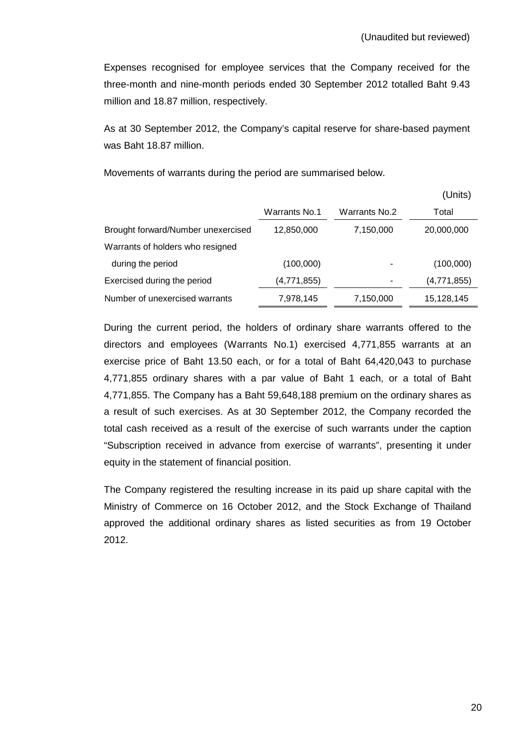Expenses recognised for employee services that the Company received for the three-month and nine-month periods ended 30 September 2012 totalled Baht 9.43 million and 18.87 million, respectively.

As at 30 September 2012, the Company's capital reserve for share-based payment was Baht 18.87 million.

Movements of warrants during the period are summarised below.

|                                    |                      |               | (Units)     |
|------------------------------------|----------------------|---------------|-------------|
|                                    | <b>Warrants No.1</b> | Warrants No.2 | Total       |
| Brought forward/Number unexercised | 12,850,000           | 7,150,000     | 20,000,000  |
| Warrants of holders who resigned   |                      |               |             |
| during the period                  | (100,000)            |               | (100,000)   |
| Exercised during the period        | (4,771,855)          |               | (4,771,855) |
| Number of unexercised warrants     | 7,978,145            | 7,150,000     | 15,128,145  |

During the current period, the holders of ordinary share warrants offered to the directors and employees (Warrants No.1) exercised 4,771,855 warrants at an exercise price of Baht 13.50 each, or for a total of Baht 64,420,043 to purchase 4,771,855 ordinary shares with a par value of Baht 1 each, or a total of Baht 4,771,855. The Company has a Baht 59,648,188 premium on the ordinary shares as a result of such exercises. As at 30 September 2012, the Company recorded the total cash received as a result of the exercise of such warrants under the caption "Subscription received in advance from exercise of warrants", presenting it under equity in the statement of financial position.

 The Company registered the resulting increase in its paid up share capital with the Ministry of Commerce on 16 October 2012, and the Stock Exchange of Thailand approved the additional ordinary shares as listed securities as from 19 October 2012.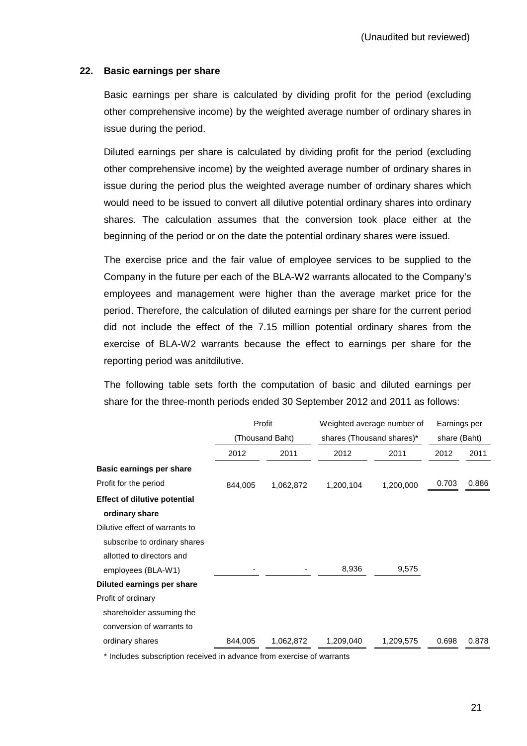#### **22. Basic earnings per share**

 Basic earnings per share is calculated by dividing profit for the period (excluding other comprehensive income) by the weighted average number of ordinary shares in issue during the period.

 Diluted earnings per share is calculated by dividing profit for the period (excluding other comprehensive income) by the weighted average number of ordinary shares in issue during the period plus the weighted average number of ordinary shares which would need to be issued to convert all dilutive potential ordinary shares into ordinary shares. The calculation assumes that the conversion took place either at the beginning of the period or on the date the potential ordinary shares were issued.

 The exercise price and the fair value of employee services to be supplied to the Company in the future per each of the BLA-W2 warrants allocated to the Company's employees and management were higher than the average market price for the period. Therefore, the calculation of diluted earnings per share for the current period did not include the effect of the 7.15 million potential ordinary shares from the exercise of BLA-W2 warrants because the effect to earnings per share for the reporting period was anitdilutive.

 The following table sets forth the computation of basic and diluted earnings per share for the three-month periods ended 30 September 2012 and 2011 as follows:

|                                     | Profit<br>(Thousand Baht) |           | Weighted average number of | Earnings per |       |       |
|-------------------------------------|---------------------------|-----------|----------------------------|--------------|-------|-------|
|                                     |                           |           | shares (Thousand shares)*  | share (Baht) |       |       |
|                                     | 2012                      | 2011      | 2012                       | 2011         | 2012  | 2011  |
| Basic earnings per share            |                           |           |                            |              |       |       |
| Profit for the period               | 844,005                   | 1,062,872 | 1,200,104                  | 1,200,000    | 0.703 | 0.886 |
| <b>Effect of dilutive potential</b> |                           |           |                            |              |       |       |
| ordinary share                      |                           |           |                            |              |       |       |
| Dilutive effect of warrants to      |                           |           |                            |              |       |       |
| subscribe to ordinary shares        |                           |           |                            |              |       |       |
| allotted to directors and           |                           |           |                            |              |       |       |
| employees (BLA-W1)                  |                           |           | 8,936                      | 9,575        |       |       |
| Diluted earnings per share          |                           |           |                            |              |       |       |
| Profit of ordinary                  |                           |           |                            |              |       |       |
| shareholder assuming the            |                           |           |                            |              |       |       |
| conversion of warrants to           |                           |           |                            |              |       |       |
| ordinary shares                     | 844,005                   | 1,062,872 | 1,209,040                  | 1,209,575    | 0.698 | 0.878 |

\* Includes subscription received in advance from exercise of warrants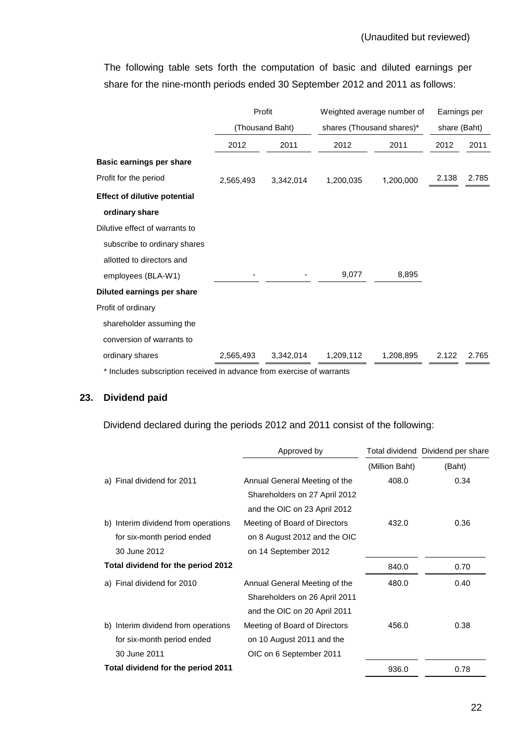The following table sets forth the computation of basic and diluted earnings per share for the nine-month periods ended 30 September 2012 and 2011 as follows:

|                                                                       | Profit<br>(Thousand Baht) |           | Weighted average number of | Earnings per |       |       |
|-----------------------------------------------------------------------|---------------------------|-----------|----------------------------|--------------|-------|-------|
|                                                                       |                           |           | shares (Thousand shares)*  | share (Baht) |       |       |
|                                                                       | 2012                      | 2011      | 2012                       | 2011         | 2012  | 2011  |
| Basic earnings per share                                              |                           |           |                            |              |       |       |
| Profit for the period                                                 | 2,565,493                 | 3,342,014 | 1,200,035                  | 1,200,000    | 2.138 | 2.785 |
| <b>Effect of dilutive potential</b>                                   |                           |           |                            |              |       |       |
| ordinary share                                                        |                           |           |                            |              |       |       |
| Dilutive effect of warrants to                                        |                           |           |                            |              |       |       |
| subscribe to ordinary shares                                          |                           |           |                            |              |       |       |
| allotted to directors and                                             |                           |           |                            |              |       |       |
| employees (BLA-W1)                                                    |                           |           | 9,077                      | 8,895        |       |       |
| Diluted earnings per share                                            |                           |           |                            |              |       |       |
| Profit of ordinary                                                    |                           |           |                            |              |       |       |
| shareholder assuming the                                              |                           |           |                            |              |       |       |
| conversion of warrants to                                             |                           |           |                            |              |       |       |
| ordinary shares                                                       | 2,565,493                 | 3,342,014 | 1,209,112                  | 1,208,895    | 2.122 | 2.765 |
| * Includes subscription received in advance from evercise of warrants |                           |           |                            |              |       |       |

Includes subscription received in advance from exercise of warrants

# **23. Dividend paid**

Dividend declared during the periods 2012 and 2011 consist of the following:

|                                     | Approved by                   |                | Total dividend Dividend per share |
|-------------------------------------|-------------------------------|----------------|-----------------------------------|
|                                     |                               | (Million Baht) | (Baht)                            |
| a) Final dividend for 2011          | Annual General Meeting of the | 408.0          | 0.34                              |
|                                     | Shareholders on 27 April 2012 |                |                                   |
|                                     | and the OIC on 23 April 2012  |                |                                   |
| b) Interim dividend from operations | Meeting of Board of Directors | 432.0          | 0.36                              |
| for six-month period ended          | on 8 August 2012 and the OIC  |                |                                   |
| 30 June 2012                        | on 14 September 2012          |                |                                   |
| Total dividend for the period 2012  |                               | 840.0          | 0.70                              |
| a) Final dividend for 2010          | Annual General Meeting of the | 480.0          | 0.40                              |
|                                     | Shareholders on 26 April 2011 |                |                                   |
|                                     | and the OIC on 20 April 2011  |                |                                   |
| b) Interim dividend from operations | Meeting of Board of Directors | 456.0          | 0.38                              |
| for six-month period ended          | on 10 August 2011 and the     |                |                                   |
| 30 June 2011                        | OIC on 6 September 2011       |                |                                   |
| Total dividend for the period 2011  |                               | 936.0          | 0.78                              |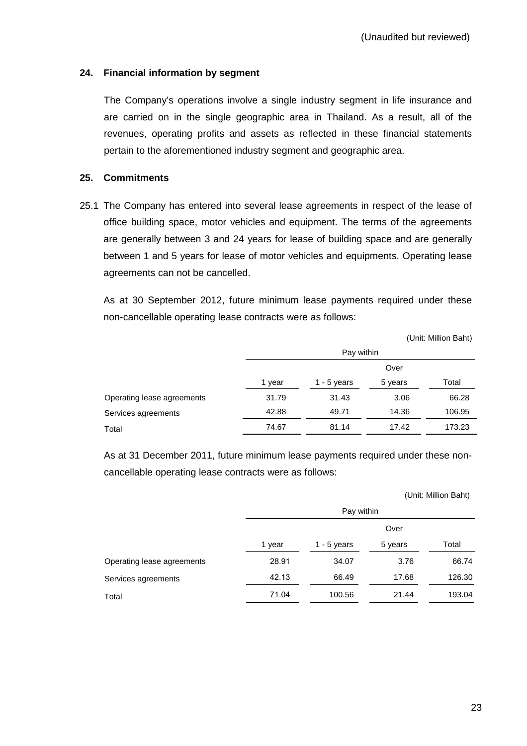# **24. Financial information by segment**

 The Company's operations involve a single industry segment in life insurance and are carried on in the single geographic area in Thailand. As a result, all of the revenues, operating profits and assets as reflected in these financial statements pertain to the aforementioned industry segment and geographic area.

#### **25. Commitments**

25.1 The Company has entered into several lease agreements in respect of the lease of office building space, motor vehicles and equipment. The terms of the agreements are generally between 3 and 24 years for lease of building space and are generally between 1 and 5 years for lease of motor vehicles and equipments. Operating lease agreements can not be cancelled.

 As at 30 September 2012, future minimum lease payments required under these non-cancellable operating lease contracts were as follows:

|                            |            |               |         | (Unit: Million Baht) |
|----------------------------|------------|---------------|---------|----------------------|
|                            | Pay within |               |         |                      |
|                            | Over       |               |         |                      |
|                            | 1 year     | $1 - 5$ years | 5 years | Total                |
| Operating lease agreements | 31.79      | 31.43         | 3.06    | 66.28                |
| Services agreements        | 42.88      | 49.71         | 14.36   | 106.95               |
| Total                      | 74.67      | 81.14         | 17.42   | 173.23               |

As at 31 December 2011, future minimum lease payments required under these noncancellable operating lease contracts were as follows:

|        |               |         | (UNIIL MIIIIUN DANI) |
|--------|---------------|---------|----------------------|
|        |               |         |                      |
| Over   |               |         |                      |
| 1 year | 1 - $5$ years | 5 years | Total                |
| 28.91  | 34.07         | 3.76    | 66.74                |
| 42.13  | 66.49         | 17.68   | 126.30               |
| 71.04  | 100.56        | 21.44   | 193.04               |
|        |               |         | Pay within           |

(Unit: Million Baht)